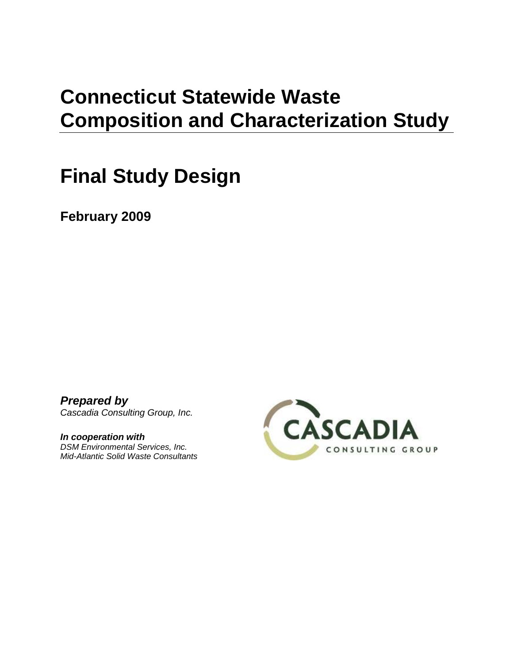# **Connecticut Statewide Waste Composition and Characterization Study**

# **Final Study Design**

**February 2009**

*Prepared by Cascadia Consulting Group, Inc.*

*In cooperation with DSM Environmental Services, Inc. Mid-Atlantic Solid Waste Consultants* 

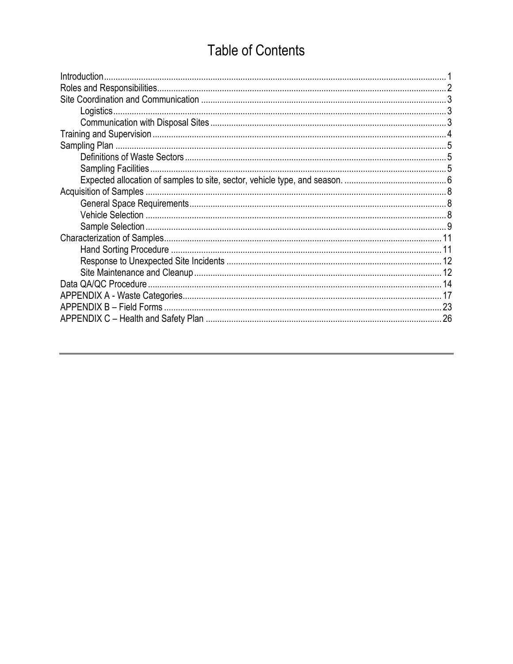# **Table of Contents**

| Introduction |    |
|--------------|----|
|              |    |
|              |    |
| Logistics    |    |
|              |    |
|              |    |
|              |    |
|              |    |
|              |    |
|              |    |
|              |    |
|              |    |
|              |    |
|              |    |
|              |    |
|              |    |
|              |    |
|              |    |
|              |    |
|              |    |
|              |    |
|              | 26 |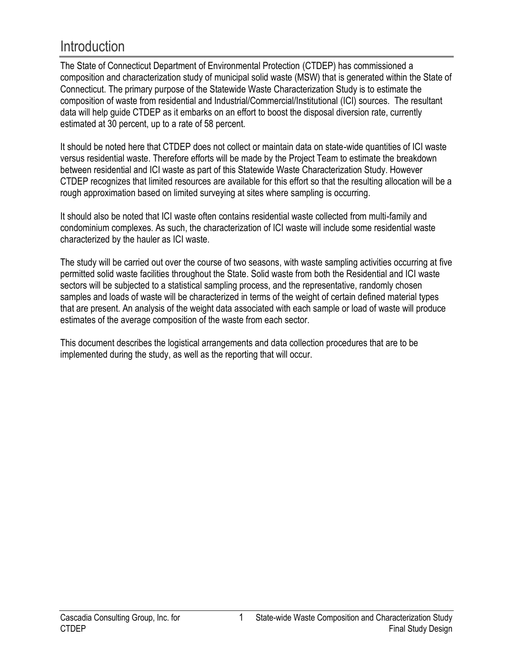# <span id="page-2-0"></span>**Introduction**

The State of Connecticut Department of Environmental Protection (CTDEP) has commissioned a composition and characterization study of municipal solid waste (MSW) that is generated within the State of Connecticut. The primary purpose of the Statewide Waste Characterization Study is to estimate the composition of waste from residential and Industrial/Commercial/Institutional (ICI) sources. The resultant data will help guide CTDEP as it embarks on an effort to boost the disposal diversion rate, currently estimated at 30 percent, up to a rate of 58 percent.

It should be noted here that CTDEP does not collect or maintain data on state-wide quantities of ICI waste versus residential waste. Therefore efforts will be made by the Project Team to estimate the breakdown between residential and ICI waste as part of this Statewide Waste Characterization Study. However CTDEP recognizes that limited resources are available for this effort so that the resulting allocation will be a rough approximation based on limited surveying at sites where sampling is occurring.

It should also be noted that ICI waste often contains residential waste collected from multi-family and condominium complexes. As such, the characterization of ICI waste will include some residential waste characterized by the hauler as ICI waste.

The study will be carried out over the course of two seasons, with waste sampling activities occurring at five permitted solid waste facilities throughout the State. Solid waste from both the Residential and ICI waste sectors will be subjected to a statistical sampling process, and the representative, randomly chosen samples and loads of waste will be characterized in terms of the weight of certain defined material types that are present. An analysis of the weight data associated with each sample or load of waste will produce estimates of the average composition of the waste from each sector.

This document describes the logistical arrangements and data collection procedures that are to be implemented during the study, as well as the reporting that will occur.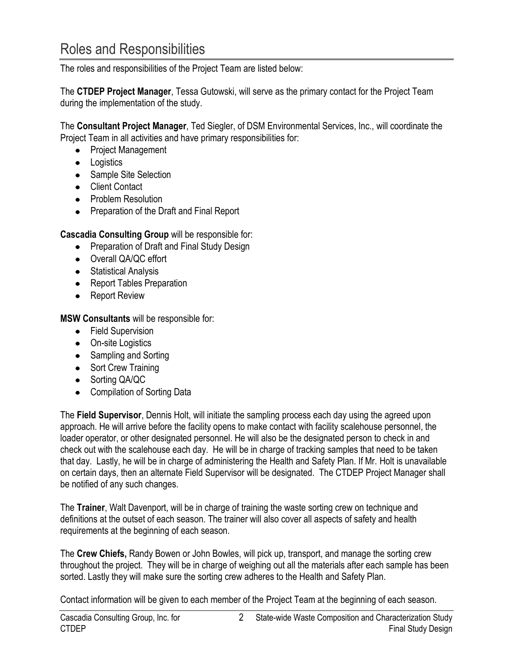<span id="page-3-0"></span>The roles and responsibilities of the Project Team are listed below:

The **CTDEP Project Manager**, Tessa Gutowski, will serve as the primary contact for the Project Team during the implementation of the study.

The **Consultant Project Manager**, Ted Siegler, of DSM Environmental Services, Inc., will coordinate the Project Team in all activities and have primary responsibilities for:

- Project Management
- Logistics
- Sample Site Selection
- **•** Client Contact
- Problem Resolution
- Preparation of the Draft and Final Report

**Cascadia Consulting Group** will be responsible for:

- Preparation of Draft and Final Study Design
- Overall QA/QC effort
- Statistical Analysis
- Report Tables Preparation
- Report Review

**MSW Consultants** will be responsible for:

- Field Supervision
- On-site Logistics
- Sampling and Sorting
- Sort Crew Training
- Sorting QA/QC
- Compilation of Sorting Data

The **Field Supervisor**, Dennis Holt, will initiate the sampling process each day using the agreed upon approach. He will arrive before the facility opens to make contact with facility scalehouse personnel, the loader operator, or other designated personnel. He will also be the designated person to check in and check out with the scalehouse each day. He will be in charge of tracking samples that need to be taken that day. Lastly, he will be in charge of administering the Health and Safety Plan. If Mr. Holt is unavailable on certain days, then an alternate Field Supervisor will be designated. The CTDEP Project Manager shall be notified of any such changes.

The **Trainer**, Walt Davenport, will be in charge of training the waste sorting crew on technique and definitions at the outset of each season. The trainer will also cover all aspects of safety and health requirements at the beginning of each season.

The **Crew Chiefs,** Randy Bowen or John Bowles, will pick up, transport, and manage the sorting crew throughout the project. They will be in charge of weighing out all the materials after each sample has been sorted. Lastly they will make sure the sorting crew adheres to the Health and Safety Plan.

Contact information will be given to each member of the Project Team at the beginning of each season.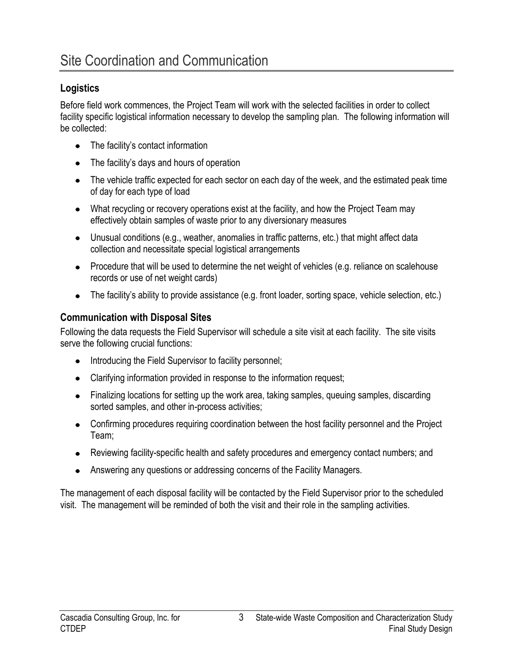# <span id="page-4-1"></span><span id="page-4-0"></span>**Logistics**

Before field work commences, the Project Team will work with the selected facilities in order to collect facility specific logistical information necessary to develop the sampling plan. The following information will be collected:

- The facility's contact information
- The facility's days and hours of operation
- The vehicle traffic expected for each sector on each day of the week, and the estimated peak time of day for each type of load
- What recycling or recovery operations exist at the facility, and how the Project Team may effectively obtain samples of waste prior to any diversionary measures
- Unusual conditions (e.g., weather, anomalies in traffic patterns, etc.) that might affect data collection and necessitate special logistical arrangements
- Procedure that will be used to determine the net weight of vehicles (e.g. reliance on scalehouse records or use of net weight cards)
- The facility's ability to provide assistance (e.g. front loader, sorting space, vehicle selection, etc.)

# <span id="page-4-2"></span>**Communication with Disposal Sites**

Following the data requests the Field Supervisor will schedule a site visit at each facility. The site visits serve the following crucial functions:

- Introducing the Field Supervisor to facility personnel;
- Clarifying information provided in response to the information request;
- Finalizing locations for setting up the work area, taking samples, queuing samples, discarding sorted samples, and other in-process activities;
- Confirming procedures requiring coordination between the host facility personnel and the Project Team;
- Reviewing facility-specific health and safety procedures and emergency contact numbers; and
- Answering any questions or addressing concerns of the Facility Managers.

The management of each disposal facility will be contacted by the Field Supervisor prior to the scheduled visit. The management will be reminded of both the visit and their role in the sampling activities.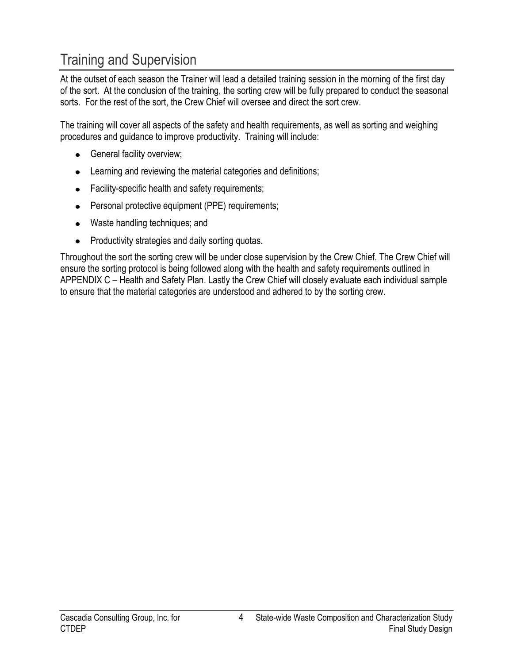# <span id="page-5-0"></span>Training and Supervision

At the outset of each season the Trainer will lead a detailed training session in the morning of the first day of the sort. At the conclusion of the training, the sorting crew will be fully prepared to conduct the seasonal sorts. For the rest of the sort, the Crew Chief will oversee and direct the sort crew.

The training will cover all aspects of the safety and health requirements, as well as sorting and weighing procedures and guidance to improve productivity. Training will include:

- **•** General facility overview;
- Learning and reviewing the material categories and definitions;
- Facility-specific health and safety requirements;
- Personal protective equipment (PPE) requirements;
- Waste handling techniques; and
- Productivity strategies and daily sorting quotas.  $\bullet$

Throughout the sort the sorting crew will be under close supervision by the Crew Chief. The Crew Chief will ensure the sorting protocol is being followed along with the health and safety requirements outlined in APPENDIX C – [Health and Safety Plan.](#page-27-0) Lastly the Crew Chief will closely evaluate each individual sample to ensure that the material categories are understood and adhered to by the sorting crew.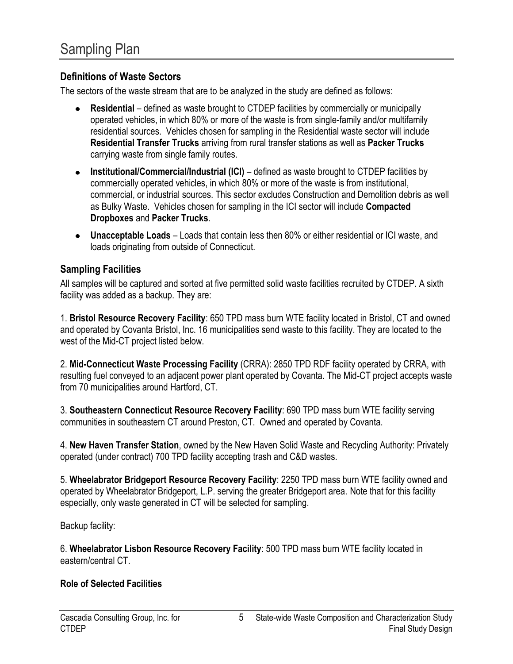#### <span id="page-6-1"></span><span id="page-6-0"></span>**Definitions of Waste Sectors**

The sectors of the waste stream that are to be analyzed in the study are defined as follows:

- **Residential** defined as waste brought to CTDEP facilities by commercially or municipally operated vehicles, in which 80% or more of the waste is from single-family and/or multifamily residential sources. Vehicles chosen for sampling in the Residential waste sector will include **Residential Transfer Trucks** arriving from rural transfer stations as well as **Packer Trucks**  carrying waste from single family routes.
- **Institutional/Commercial/Industrial (ICI)** defined as waste brought to CTDEP facilities by commercially operated vehicles, in which 80% or more of the waste is from institutional, commercial, or industrial sources. This sector excludes Construction and Demolition debris as well as Bulky Waste. Vehicles chosen for sampling in the ICI sector will include **Compacted Dropboxes** and **Packer Trucks**.
- **Unacceptable Loads**  Loads that contain less then 80% or either residential or ICI waste, and loads originating from outside of Connecticut.

#### <span id="page-6-2"></span>**Sampling Facilities**

All samples will be captured and sorted at five permitted solid waste facilities recruited by CTDEP. A sixth facility was added as a backup. They are:

1. **Bristol Resource Recovery Facility**: 650 TPD mass burn WTE facility located in Bristol, CT and owned and operated by Covanta Bristol, Inc. 16 municipalities send waste to this facility. They are located to the west of the Mid-CT project listed below.

2. **Mid-Connecticut Waste Processing Facility** (CRRA): 2850 TPD RDF facility operated by CRRA, with resulting fuel conveyed to an adjacent power plant operated by Covanta. The Mid-CT project accepts waste from 70 municipalities around Hartford, CT.

3. **Southeastern Connecticut Resource Recovery Facility**: 690 TPD mass burn WTE facility serving communities in southeastern CT around Preston, CT. Owned and operated by Covanta.

4. **New Haven Transfer Station**, owned by the New Haven Solid Waste and Recycling Authority: Privately operated (under contract) 700 TPD facility accepting trash and C&D wastes.

5. **Wheelabrator Bridgeport Resource Recovery Facility**: 2250 TPD mass burn WTE facility owned and operated by Wheelabrator Bridgeport, L.P. serving the greater Bridgeport area. Note that for this facility especially, only waste generated in CT will be selected for sampling.

Backup facility:

6. **Wheelabrator Lisbon Resource Recovery Facility**: 500 TPD mass burn WTE facility located in eastern/central CT.

#### **Role of Selected Facilities**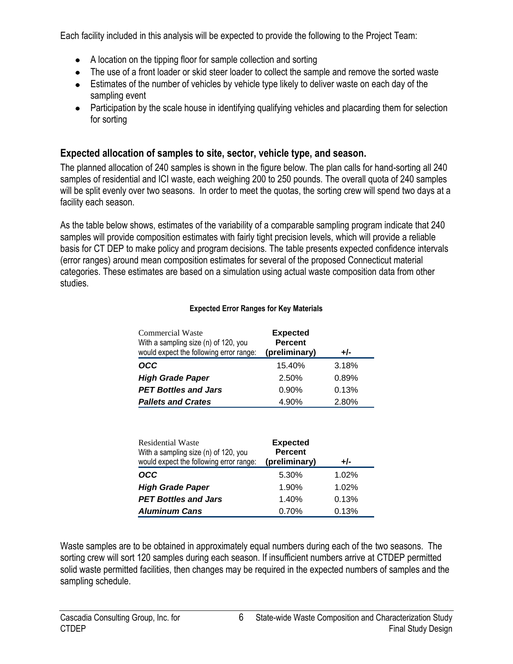Each facility included in this analysis will be expected to provide the following to the Project Team:

- A location on the tipping floor for sample collection and sorting
- The use of a front loader or skid steer loader to collect the sample and remove the sorted waste
- Estimates of the number of vehicles by vehicle type likely to deliver waste on each day of the sampling event
- Participation by the scale house in identifying qualifying vehicles and placarding them for selection for sorting

# <span id="page-7-0"></span>**Expected allocation of samples to site, sector, vehicle type, and season.**

The planned allocation of 240 samples is shown in the figure below. The plan calls for hand-sorting all 240 samples of residential and ICI waste, each weighing 200 to 250 pounds. The overall quota of 240 samples will be split evenly over two seasons. In order to meet the quotas, the sorting crew will spend two days at a facility each season.

As the table below shows, estimates of the variability of a comparable sampling program indicate that 240 samples will provide composition estimates with fairly tight precision levels, which will provide a reliable basis for CT DEP to make policy and program decisions. The table presents expected confidence intervals (error ranges) around mean composition estimates for several of the proposed Connecticut material categories. These estimates are based on a simulation using actual waste composition data from other studies.

#### **Expected Error Ranges for Key Materials**

| Commercial Waste<br>With a sampling size (n) of 120, you<br>would expect the following error range: | <b>Expected</b><br><b>Percent</b><br>(preliminary) | $+/-$ |
|-----------------------------------------------------------------------------------------------------|----------------------------------------------------|-------|
| OCC                                                                                                 | 15.40%                                             | 3.18% |
| <b>High Grade Paper</b>                                                                             | 2.50%                                              | 0.89% |
| <b>PET Bottles and Jars</b>                                                                         | 0.90%                                              | 0.13% |
| <b>Pallets and Crates</b>                                                                           | 4.90%                                              | 2.80% |

| <b>Residential Waste</b><br>With a sampling size (n) of 120, you<br>would expect the following error range: | <b>Expected</b><br><b>Percent</b><br>(preliminary) | +/-   |
|-------------------------------------------------------------------------------------------------------------|----------------------------------------------------|-------|
| OCC                                                                                                         | 5.30%                                              | 1.02% |
| <b>High Grade Paper</b>                                                                                     | 1.90%                                              | 1.02% |
| <b>PET Bottles and Jars</b>                                                                                 | 1.40%                                              | 0.13% |
| <b>Aluminum Cans</b>                                                                                        | 0.70%                                              | 0.13% |

Waste samples are to be obtained in approximately equal numbers during each of the two seasons. The sorting crew will sort 120 samples during each season. If insufficient numbers arrive at CTDEP permitted solid waste permitted facilities, then changes may be required in the expected numbers of samples and the sampling schedule.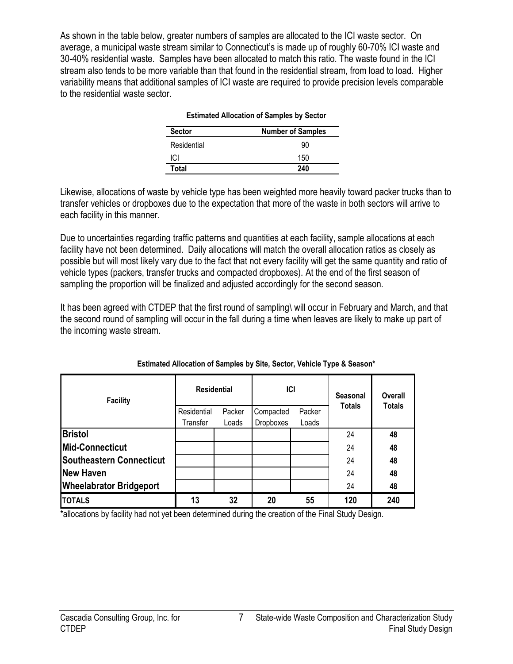As shown in the table below, greater numbers of samples are allocated to the ICI waste sector. On average, a municipal waste stream similar to Connecticut's is made up of roughly 60-70% ICI waste and 30-40% residential waste. Samples have been allocated to match this ratio. The waste found in the ICI stream also tends to be more variable than that found in the residential stream, from load to load. Higher variability means that additional samples of ICI waste are required to provide precision levels comparable to the residential waste sector.

| <b>Number of Samples</b> |
|--------------------------|
| 90                       |
| 150                      |
| 240                      |
|                          |

#### **Estimated Allocation of Samples by Sector**

Likewise, allocations of waste by vehicle type has been weighted more heavily toward packer trucks than to transfer vehicles or dropboxes due to the expectation that more of the waste in both sectors will arrive to each facility in this manner.

Due to uncertainties regarding traffic patterns and quantities at each facility, sample allocations at each facility have not been determined. Daily allocations will match the overall allocation ratios as closely as possible but will most likely vary due to the fact that not every facility will get the same quantity and ratio of vehicle types (packers, transfer trucks and compacted dropboxes). At the end of the first season of sampling the proportion will be finalized and adjusted accordingly for the second season.

It has been agreed with CTDEP that the first round of sampling\ will occur in February and March, and that the second round of sampling will occur in the fall during a time when leaves are likely to make up part of the incoming waste stream.

| <b>Facility</b>                 | <b>Residential</b>      |                 | <b>ICI</b>                    |                 | Seasonal      | Overall       |
|---------------------------------|-------------------------|-----------------|-------------------------------|-----------------|---------------|---------------|
|                                 | Residential<br>Transfer | Packer<br>Loads | Compacted<br><b>Dropboxes</b> | Packer<br>Loads | <b>Totals</b> | <b>Totals</b> |
| <b>Bristol</b>                  |                         |                 |                               |                 | 24            | 48            |
| Mid-Connecticut                 |                         |                 |                               |                 | 24            | 48            |
| <b>Southeastern Connecticut</b> |                         |                 |                               |                 | 24            | 48            |
| New Haven                       |                         |                 |                               |                 | 24            | 48            |
| <b>Wheelabrator Bridgeport</b>  |                         |                 |                               |                 | 24            | 48            |
| <b>TOTALS</b>                   | 13                      | 32              | 20                            | 55              | 120           | 240           |

#### **Estimated Allocation of Samples by Site, Sector, Vehicle Type & Season\***

\*allocations by facility had not yet been determined during the creation of the Final Study Design.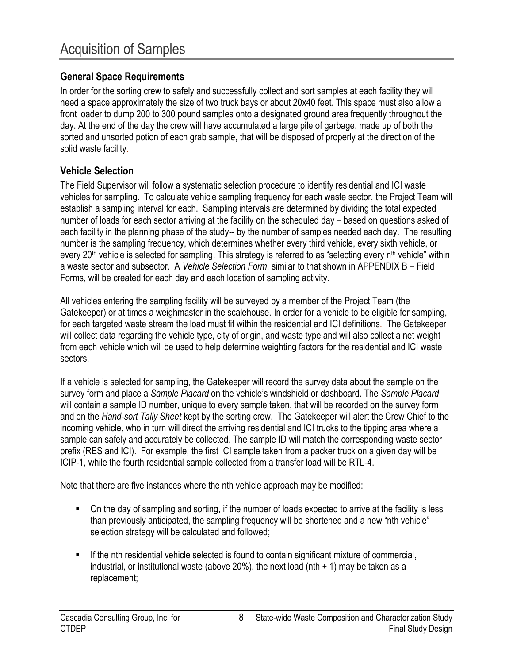# <span id="page-9-1"></span><span id="page-9-0"></span>**General Space Requirements**

In order for the sorting crew to safely and successfully collect and sort samples at each facility they will need a space approximately the size of two truck bays or about 20x40 feet. This space must also allow a front loader to dump 200 to 300 pound samples onto a designated ground area frequently throughout the day. At the end of the day the crew will have accumulated a large pile of garbage, made up of both the sorted and unsorted potion of each grab sample, that will be disposed of properly at the direction of the solid waste facility.

## <span id="page-9-2"></span>**Vehicle Selection**

The Field Supervisor will follow a systematic selection procedure to identify residential and ICI waste vehicles for sampling. To calculate vehicle sampling frequency for each waste sector, the Project Team will establish a sampling interval for each. Sampling intervals are determined by dividing the total expected number of loads for each sector arriving at the facility on the scheduled day – based on questions asked of each facility in the planning phase of the study-- by the number of samples needed each day. The resulting number is the sampling frequency, which determines whether every third vehicle, every sixth vehicle, or every  $20<sup>th</sup>$  vehicle is selected for sampling. This strategy is referred to as "selecting every n<sup>th</sup> vehicle" within a waste sector and subsector. A *Vehicle Selection Form*, similar to that shown in [APPENDIX B](#page-24-0) – Field [Forms,](#page-24-0) will be created for each day and each location of sampling activity.

All vehicles entering the sampling facility will be surveyed by a member of the Project Team (the Gatekeeper) or at times a weighmaster in the scalehouse. In order for a vehicle to be eligible for sampling, for each targeted waste stream the load must fit within the residential and ICI definitions. The Gatekeeper will collect data regarding the vehicle type, city of origin, and waste type and will also collect a net weight from each vehicle which will be used to help determine weighting factors for the residential and ICI waste sectors.

If a vehicle is selected for sampling, the Gatekeeper will record the survey data about the sample on the survey form and place a *Sample Placard* on the vehicle's windshield or dashboard. The *Sample Placard* will contain a sample ID number, unique to every sample taken, that will be recorded on the survey form and on the *Hand-sort Tally Sheet* kept by the sorting crew. The Gatekeeper will alert the Crew Chief to the incoming vehicle, who in turn will direct the arriving residential and ICI trucks to the tipping area where a sample can safely and accurately be collected. The sample ID will match the corresponding waste sector prefix (RES and ICI). For example, the first ICI sample taken from a packer truck on a given day will be ICIP-1, while the fourth residential sample collected from a transfer load will be RTL-4.

Note that there are five instances where the nth vehicle approach may be modified:

- On the day of sampling and sorting, if the number of loads expected to arrive at the facility is less than previously anticipated, the sampling frequency will be shortened and a new "nth vehicle" selection strategy will be calculated and followed;
- If the nth residential vehicle selected is found to contain significant mixture of commercial, industrial, or institutional waste (above 20%), the next load (nth  $+$  1) may be taken as a replacement;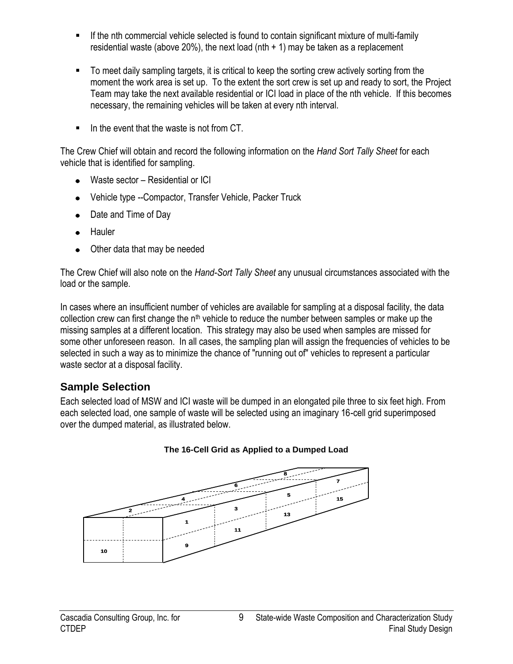- If the nth commercial vehicle selected is found to contain significant mixture of multi-family residential waste (above 20%), the next load (nth  $+$  1) may be taken as a replacement
- To meet daily sampling targets, it is critical to keep the sorting crew actively sorting from the moment the work area is set up. To the extent the sort crew is set up and ready to sort, the Project Team may take the next available residential or ICI load in place of the nth vehicle. If this becomes necessary, the remaining vehicles will be taken at every nth interval.
- In the event that the waste is not from CT

The Crew Chief will obtain and record the following information on the *Hand Sort Tally Sheet* for each vehicle that is identified for sampling.

- Waste sector Residential or ICI
- Vehicle type --Compactor, Transfer Vehicle, Packer Truck
- Date and Time of Day
- Hauler
- Other data that may be needed

The Crew Chief will also note on the *Hand-Sort Tally Sheet* any unusual circumstances associated with the load or the sample.

In cases where an insufficient number of vehicles are available for sampling at a disposal facility, the data collection crew can first change the  $n<sup>th</sup>$  vehicle to reduce the number between samples or make up the missing samples at a different location. This strategy may also be used when samples are missed for some other unforeseen reason. In all cases, the sampling plan will assign the frequencies of vehicles to be selected in such a way as to minimize the chance of "running out of" vehicles to represent a particular waste sector at a disposal facility.

# <span id="page-10-0"></span>**Sample Selection**

Each selected load of MSW and ICI waste will be dumped in an elongated pile three to six feet high. From each selected load, one sample of waste will be selected using an imaginary 16-cell grid superimposed over the dumped material, as illustrated below.



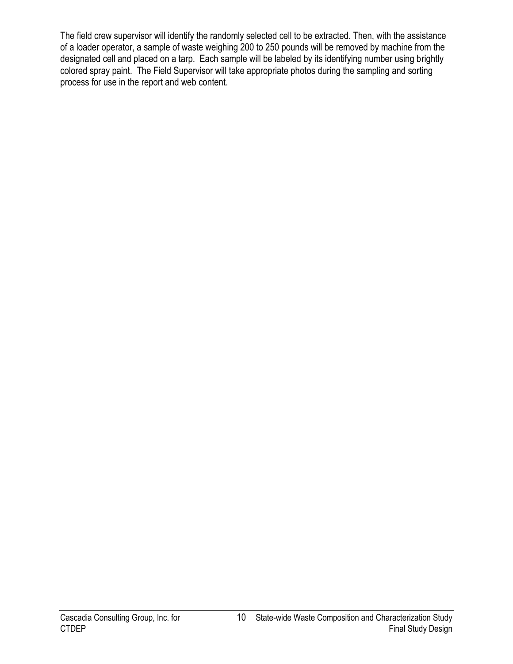The field crew supervisor will identify the randomly selected cell to be extracted. Then, with the assistance of a loader operator, a sample of waste weighing 200 to 250 pounds will be removed by machine from the designated cell and placed on a tarp. Each sample will be labeled by its identifying number using brightly colored spray paint. The Field Supervisor will take appropriate photos during the sampling and sorting process for use in the report and web content.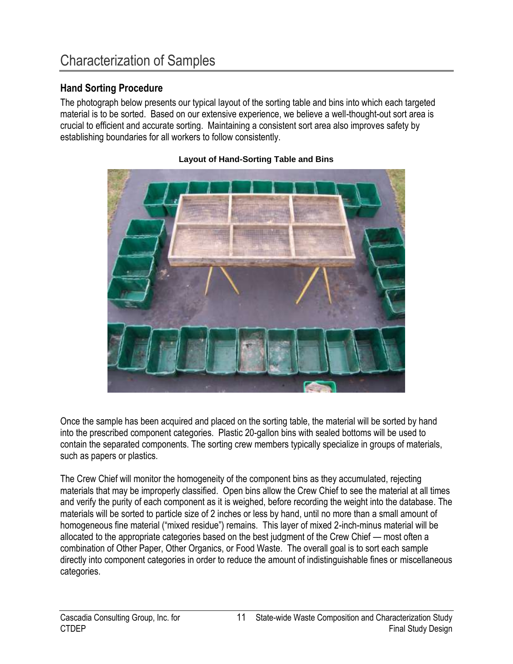# <span id="page-12-1"></span><span id="page-12-0"></span>**Hand Sorting Procedure**

The photograph below presents our typical layout of the sorting table and bins into which each targeted material is to be sorted. Based on our extensive experience, we believe a well-thought-out sort area is crucial to efficient and accurate sorting. Maintaining a consistent sort area also improves safety by establishing boundaries for all workers to follow consistently.



#### **Layout of Hand-Sorting Table and Bins**

Once the sample has been acquired and placed on the sorting table, the material will be sorted by hand into the prescribed component categories. Plastic 20-gallon bins with sealed bottoms will be used to contain the separated components. The sorting crew members typically specialize in groups of materials, such as papers or plastics.

The Crew Chief will monitor the homogeneity of the component bins as they accumulated, rejecting materials that may be improperly classified. Open bins allow the Crew Chief to see the material at all times and verify the purity of each component as it is weighed, before recording the weight into the database. The materials will be sorted to particle size of 2 inches or less by hand, until no more than a small amount of homogeneous fine material ("mixed residue") remains. This layer of mixed 2-inch-minus material will be allocated to the appropriate categories based on the best judgment of the Crew Chief — most often a combination of Other Paper, Other Organics, or Food Waste. The overall goal is to sort each sample directly into component categories in order to reduce the amount of indistinguishable fines or miscellaneous categories.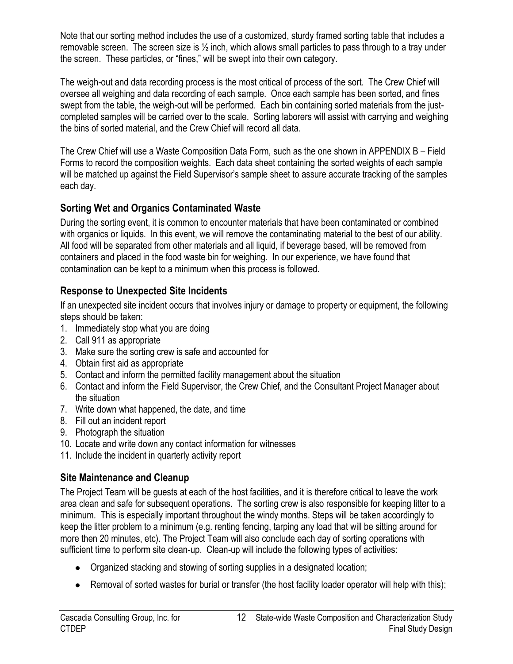Note that our sorting method includes the use of a customized, sturdy framed sorting table that includes a removable screen. The screen size is  $\frac{1}{2}$  inch, which allows small particles to pass through to a tray under the screen. These particles, or "fines," will be swept into their own category.

The weigh-out and data recording process is the most critical of process of the sort. The Crew Chief will oversee all weighing and data recording of each sample. Once each sample has been sorted, and fines swept from the table, the weigh-out will be performed. Each bin containing sorted materials from the justcompleted samples will be carried over to the scale. Sorting laborers will assist with carrying and weighing the bins of sorted material, and the Crew Chief will record all data.

The Crew Chief will use a Waste Composition Data Form, such as the one shown in [APPENDIX B](#page-24-0) – Field [Forms](#page-24-0) to record the composition weights. Each data sheet containing the sorted weights of each sample will be matched up against the Field Supervisor's sample sheet to assure accurate tracking of the samples each day.

# **Sorting Wet and Organics Contaminated Waste**

During the sorting event, it is common to encounter materials that have been contaminated or combined with organics or liquids. In this event, we will remove the contaminating material to the best of our ability. All food will be separated from other materials and all liquid, if beverage based, will be removed from containers and placed in the food waste bin for weighing. In our experience, we have found that contamination can be kept to a minimum when this process is followed.

# <span id="page-13-0"></span>**Response to Unexpected Site Incidents**

If an unexpected site incident occurs that involves injury or damage to property or equipment, the following steps should be taken:

- 1. Immediately stop what you are doing
- 2. Call 911 as appropriate
- 3. Make sure the sorting crew is safe and accounted for
- 4. Obtain first aid as appropriate
- 5. Contact and inform the permitted facility management about the situation
- 6. Contact and inform the Field Supervisor, the Crew Chief, and the Consultant Project Manager about the situation
- 7. Write down what happened, the date, and time
- 8. Fill out an incident report
- 9. Photograph the situation
- 10. Locate and write down any contact information for witnesses
- 11. Include the incident in quarterly activity report

# <span id="page-13-1"></span>**Site Maintenance and Cleanup**

The Project Team will be guests at each of the host facilities, and it is therefore critical to leave the work area clean and safe for subsequent operations. The sorting crew is also responsible for keeping litter to a minimum. This is especially important throughout the windy months. Steps will be taken accordingly to keep the litter problem to a minimum (e.g. renting fencing, tarping any load that will be sitting around for more then 20 minutes, etc). The Project Team will also conclude each day of sorting operations with sufficient time to perform site clean-up. Clean-up will include the following types of activities:

- Organized stacking and stowing of sorting supplies in a designated location;
- Removal of sorted wastes for burial or transfer (the host facility loader operator will help with this);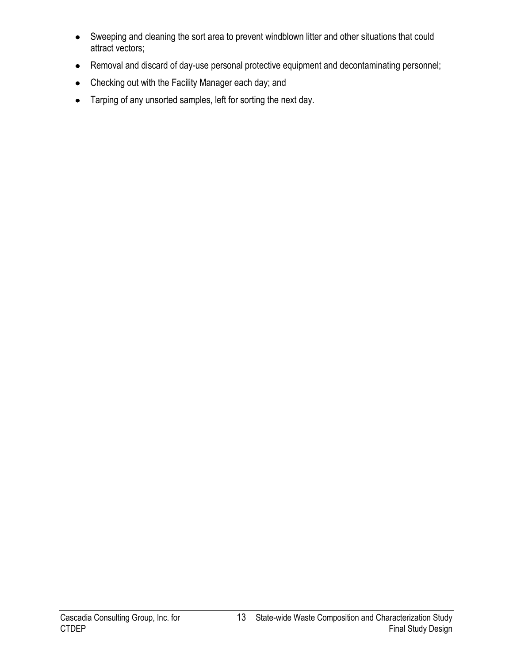- Sweeping and cleaning the sort area to prevent windblown litter and other situations that could attract vectors;
- Removal and discard of day-use personal protective equipment and decontaminating personnel;
- Checking out with the Facility Manager each day; and  $\bullet$
- Tarping of any unsorted samples, left for sorting the next day.  $\bullet$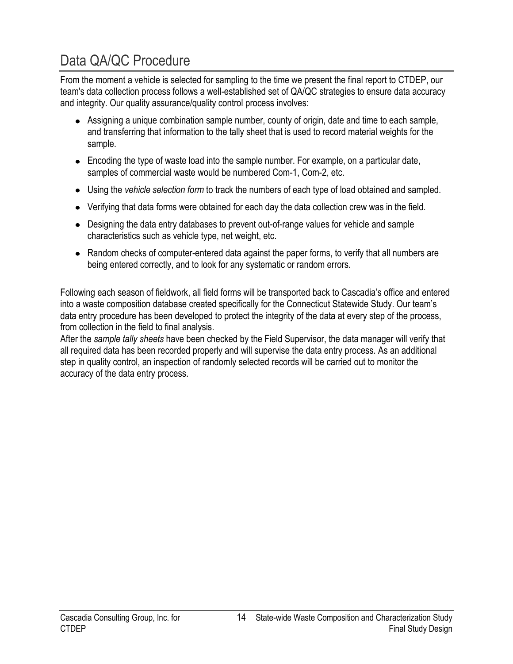# <span id="page-15-0"></span>Data QA/QC Procedure

From the moment a vehicle is selected for sampling to the time we present the final report to CTDEP, our team's data collection process follows a well-established set of QA/QC strategies to ensure data accuracy and integrity. Our quality assurance/quality control process involves:

- Assigning a unique combination sample number, county of origin, date and time to each sample, and transferring that information to the tally sheet that is used to record material weights for the sample.
- Encoding the type of waste load into the sample number. For example, on a particular date, samples of commercial waste would be numbered Com-1, Com-2, etc.
- Using the *vehicle selection form* to track the numbers of each type of load obtained and sampled.
- Verifying that data forms were obtained for each day the data collection crew was in the field.
- Designing the data entry databases to prevent out-of-range values for vehicle and sample characteristics such as vehicle type, net weight, etc.
- Random checks of computer-entered data against the paper forms, to verify that all numbers are being entered correctly, and to look for any systematic or random errors.

Following each season of fieldwork, all field forms will be transported back to Cascadia's office and entered into a waste composition database created specifically for the Connecticut Statewide Study. Our team's data entry procedure has been developed to protect the integrity of the data at every step of the process, from collection in the field to final analysis.

After the *sample tally sheets* have been checked by the Field Supervisor, the data manager will verify that all required data has been recorded properly and will supervise the data entry process. As an additional step in quality control, an inspection of randomly selected records will be carried out to monitor the accuracy of the data entry process.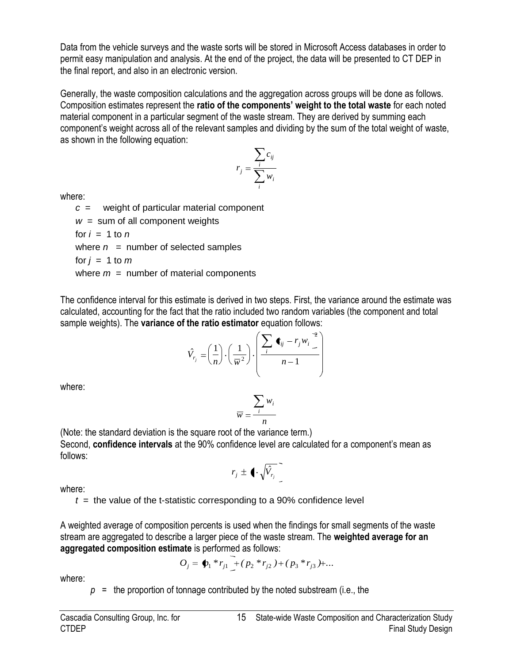Data from the vehicle surveys and the waste sorts will be stored in Microsoft Access databases in order to permit easy manipulation and analysis. At the end of the project, the data will be presented to CT DEP in the final report, and also in an electronic version.

Generally, the waste composition calculations and the aggregation across groups will be done as follows. Composition estimates represent the **ratio of the components' weight to the total waste** for each noted material component in a particular segment of the waste stream. They are derived by summing each component's weight across all of the relevant samples and dividing by the sum of the total weight of waste, as shown in the following equation:

$$
r_j = \frac{\sum_i c_{ij}}{\sum_i w_i}
$$

where:

*c* = weight of particular material component  $w =$  sum of all component weights for  $i = 1$  to  $n$ where  $n =$  number of selected samples for  $j = 1$  to  $m$ where  $m =$  number of material components

The confidence interval for this estimate is derived in two steps. First, the variance around the estimate was calculated, accounting for the fact that the ratio included two random variables (the component and total sample weights). The **variance of the ratio estimator** equation follows:

$$
\hat{V}_{r_j} = \left(\frac{1}{n}\right) \cdot \left(\frac{1}{\overline{w}^2}\right) \cdot \left(\frac{\sum_i \blacktriangleleft_{ij} - r_j w_i}{n-1}\right)
$$

where:

$$
\overline{w} = \frac{\sum_i w_i}{n}
$$

(Note: the standard deviation is the square root of the variance term.) Second, **confidence intervals** at the 90% confidence level are calculated for a component's mean as follows:

$$
r_j \pm \langle \cdot \sqrt{\hat{V}_{r_j}} \rangle
$$

where:

 $t =$  the value of the t-statistic corresponding to a 90% confidence level

A weighted average of composition percents is used when the findings for small segments of the waste stream are aggregated to describe a larger piece of the waste stream. The **weighted average for an aggregated composition estimate** is performed as follows:

$$
O_j = \oint_1 *r_{j1} + (p_2 *r_{j2}) + (p_3 *r_{j3}) + ...
$$

where:

 $p =$  the proportion of tonnage contributed by the noted substream (i.e., the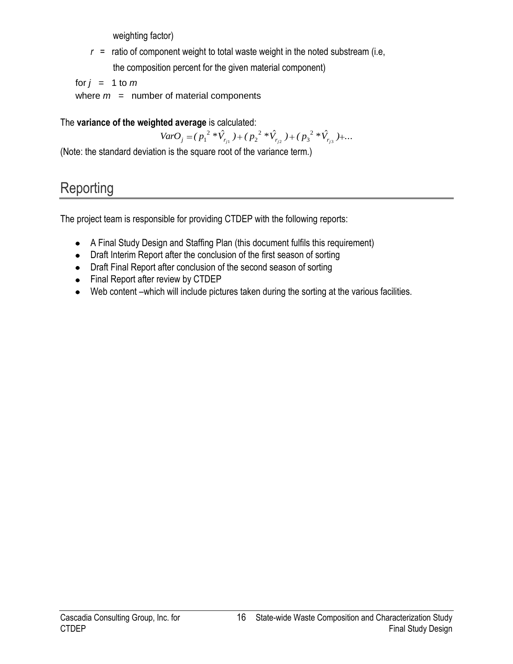weighting factor)

 $r =$  ratio of component weight to total waste weight in the noted substream (i.e, the composition percent for the given material component)

for  $j = 1$  to  $m$ 

where  $m =$  number of material components

# The **variance of the weighted average** is calculated:

 $VarO_j = (p_1^2 * \hat{V}_{r_{j1}}) + (p_2^2 * \hat{V}_{r_{j2}}) + (p_3^2 * \hat{V}_{r_{j3}}) + ...$ 2 2 2 3 2 1'  $\frac{1}{2}$   $r_{j2}$   $\cdots$  1 3  $r_{j3}$ 

(Note: the standard deviation is the square root of the variance term.)

# **Reporting**

The project team is responsible for providing CTDEP with the following reports:

- A Final Study Design and Staffing Plan (this document fulfils this requirement)
- Draft Interim Report after the conclusion of the first season of sorting
- Draft Final Report after conclusion of the second season of sorting
- Final Report after review by CTDEP
- Web content –which will include pictures taken during the sorting at the various facilities.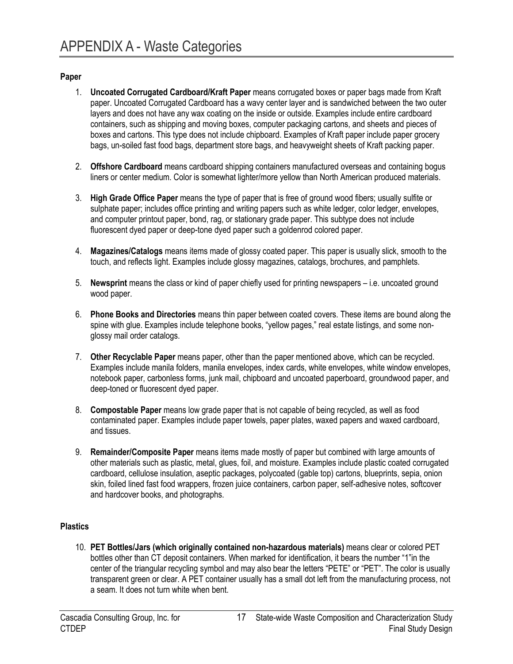#### <span id="page-18-0"></span>**Paper**

- 1. **Uncoated Corrugated Cardboard/Kraft Paper** means corrugated boxes or paper bags made from Kraft paper. Uncoated Corrugated Cardboard has a wavy center layer and is sandwiched between the two outer layers and does not have any wax coating on the inside or outside. Examples include entire cardboard containers, such as shipping and moving boxes, computer packaging cartons, and sheets and pieces of boxes and cartons. This type does not include chipboard. Examples of Kraft paper include paper grocery bags, un-soiled fast food bags, department store bags, and heavyweight sheets of Kraft packing paper.
- 2. **Offshore Cardboard** means cardboard shipping containers manufactured overseas and containing bogus liners or center medium. Color is somewhat lighter/more yellow than North American produced materials.
- 3. **High Grade Office Paper** means the type of paper that is free of ground wood fibers; usually sulfite or sulphate paper; includes office printing and writing papers such as white ledger, color ledger, envelopes, and computer printout paper, bond, rag, or stationary grade paper. This subtype does not include fluorescent dyed paper or deep-tone dyed paper such a goldenrod colored paper.
- 4. **Magazines/Catalogs** means items made of glossy coated paper. This paper is usually slick, smooth to the touch, and reflects light. Examples include glossy magazines, catalogs, brochures, and pamphlets.
- 5. **Newsprint** means the class or kind of paper chiefly used for printing newspapers i.e. uncoated ground wood paper.
- 6. **Phone Books and Directories** means thin paper between coated covers. These items are bound along the spine with glue. Examples include telephone books, "yellow pages," real estate listings, and some nonglossy mail order catalogs.
- 7. **Other Recyclable Paper** means paper, other than the paper mentioned above, which can be recycled. Examples include manila folders, manila envelopes, index cards, white envelopes, white window envelopes, notebook paper, carbonless forms, junk mail, chipboard and uncoated paperboard, groundwood paper, and deep-toned or fluorescent dyed paper.
- 8. **Compostable Paper** means low grade paper that is not capable of being recycled, as well as food contaminated paper. Examples include paper towels, paper plates, waxed papers and waxed cardboard, and tissues.
- 9. **Remainder/Composite Paper** means items made mostly of paper but combined with large amounts of other materials such as plastic, metal, glues, foil, and moisture. Examples include plastic coated corrugated cardboard, cellulose insulation, aseptic packages, polycoated (gable top) cartons, blueprints, sepia, onion skin, foiled lined fast food wrappers, frozen juice containers, carbon paper, self-adhesive notes, softcover and hardcover books, and photographs.

#### **Plastics**

10. **PET Bottles/Jars (which originally contained non-hazardous materials)** means clear or colored PET bottles other than CT deposit containers. When marked for identification, it bears the number "1"in the center of the triangular recycling symbol and may also bear the letters "PETE" or "PET". The color is usually transparent green or clear. A PET container usually has a small dot left from the manufacturing process, not a seam. It does not turn white when bent.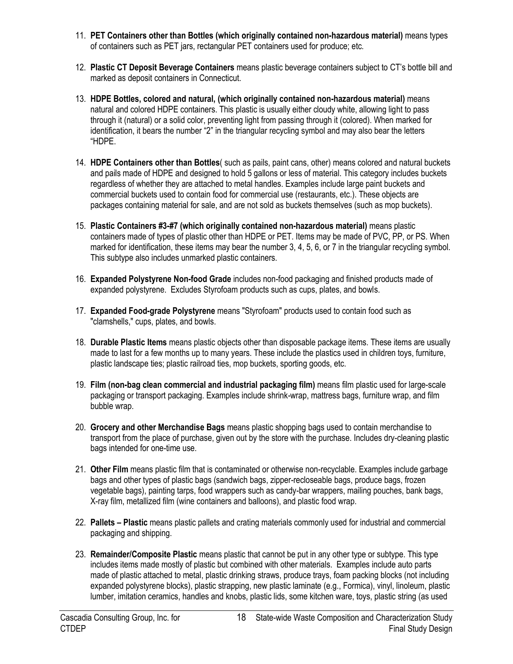- 11. **PET Containers other than Bottles (which originally contained non-hazardous material)** means types of containers such as PET jars, rectangular PET containers used for produce; etc.
- 12. **Plastic CT Deposit Beverage Containers** means plastic beverage containers subject to CT's bottle bill and marked as deposit containers in Connecticut.
- 13. **HDPE Bottles, colored and natural, (which originally contained non-hazardous material)** means natural and colored HDPE containers. This plastic is usually either cloudy white, allowing light to pass through it (natural) or a solid color, preventing light from passing through it (colored). When marked for identification, it bears the number "2" in the triangular recycling symbol and may also bear the letters ―HDPE.
- 14. **HDPE Containers other than Bottles**( such as pails, paint cans, other) means colored and natural buckets and pails made of HDPE and designed to hold 5 gallons or less of material. This category includes buckets regardless of whether they are attached to metal handles. Examples include large paint buckets and commercial buckets used to contain food for commercial use (restaurants, etc.). These objects are packages containing material for sale, and are not sold as buckets themselves (such as mop buckets).
- 15. **Plastic Containers #3-#7 (which originally contained non-hazardous material)** means plastic containers made of types of plastic other than HDPE or PET. Items may be made of PVC, PP, or PS. When marked for identification, these items may bear the number 3, 4, 5, 6, or 7 in the triangular recycling symbol. This subtype also includes unmarked plastic containers.
- 16. **Expanded Polystyrene Non-food Grade** includes non-food packaging and finished products made of expanded polystyrene. Excludes Styrofoam products such as cups, plates, and bowls.
- 17. **Expanded Food-grade Polystyrene** means "Styrofoam" products used to contain food such as "clamshells," cups, plates, and bowls.
- 18. **Durable Plastic Items** means plastic objects other than disposable package items. These items are usually made to last for a few months up to many years. These include the plastics used in children toys, furniture, plastic landscape ties; plastic railroad ties, mop buckets, sporting goods, etc.
- 19. **Film (non-bag clean commercial and industrial packaging film)** means film plastic used for large-scale packaging or transport packaging. Examples include shrink-wrap, mattress bags, furniture wrap, and film bubble wrap.
- 20. **Grocery and other Merchandise Bags** means plastic shopping bags used to contain merchandise to transport from the place of purchase, given out by the store with the purchase. Includes dry-cleaning plastic bags intended for one-time use.
- 21. **Other Film** means plastic film that is contaminated or otherwise non-recyclable. Examples include garbage bags and other types of plastic bags (sandwich bags, zipper-recloseable bags, produce bags, frozen vegetable bags), painting tarps, food wrappers such as candy-bar wrappers, mailing pouches, bank bags, X-ray film, metallized film (wine containers and balloons), and plastic food wrap.
- 22. **Pallets – Plastic** means plastic pallets and crating materials commonly used for industrial and commercial packaging and shipping.
- 23. **Remainder/Composite Plastic** means plastic that cannot be put in any other type or subtype. This type includes items made mostly of plastic but combined with other materials. Examples include auto parts made of plastic attached to metal, plastic drinking straws, produce trays, foam packing blocks (not including expanded polystyrene blocks), plastic strapping, new plastic laminate (e.g., Formica), vinyl, linoleum, plastic lumber, imitation ceramics, handles and knobs, plastic lids, some kitchen ware, toys, plastic string (as used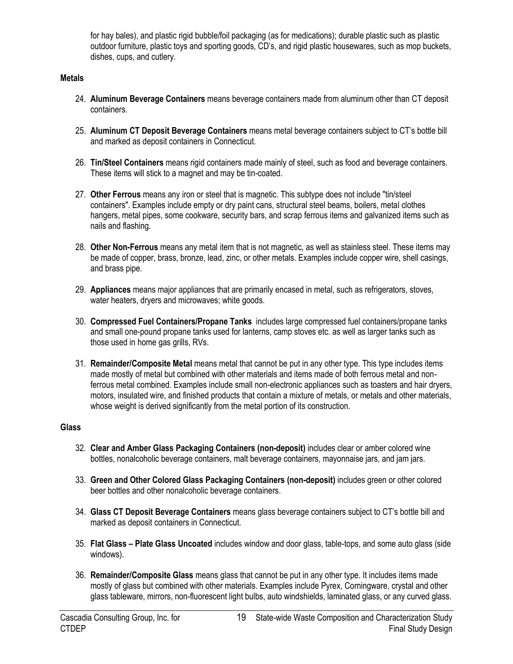for hay bales), and plastic rigid bubble/foil packaging (as for medications); durable plastic such as plastic outdoor furniture, plastic toys and sporting goods, CD's, and rigid plastic housewares, such as mop buckets, dishes, cups, and cutlery.

#### **Metals**

- 24. **Aluminum Beverage Containers** means beverage containers made from aluminum other than CT deposit containers.
- 25. **Aluminum CT Deposit Beverage Containers** means metal beverage containers subject to CT's bottle bill and marked as deposit containers in Connecticut.
- 26. **Tin/Steel Containers** means rigid containers made mainly of steel, such as food and beverage containers. These items will stick to a magnet and may be tin-coated.
- 27. **Other Ferrous** means any iron or steel that is magnetic. This subtype does not include "tin/steel containers". Examples include empty or dry paint cans, structural steel beams, boilers, metal clothes hangers, metal pipes, some cookware, security bars, and scrap ferrous items and galvanized items such as nails and flashing.
- 28. **Other Non-Ferrous** means any metal item that is not magnetic, as well as stainless steel. These items may be made of copper, brass, bronze, lead, zinc, or other metals. Examples include copper wire, shell casings, and brass pipe.
- 29. **Appliances** means major appliances that are primarily encased in metal, such as refrigerators, stoves, water heaters, dryers and microwaves; white goods.
- 30. **Compressed Fuel Containers/Propane Tanks** includes large compressed fuel containers/propane tanks and small one-pound propane tanks used for lanterns, camp stoves etc. as well as larger tanks such as those used in home gas grills, RVs.
- 31. **Remainder/Composite Metal** means metal that cannot be put in any other type. This type includes items made mostly of metal but combined with other materials and items made of both ferrous metal and nonferrous metal combined. Examples include small non-electronic appliances such as toasters and hair dryers, motors, insulated wire, and finished products that contain a mixture of metals, or metals and other materials, whose weight is derived significantly from the metal portion of its construction.

#### **Glass**

- 32. **Clear and Amber Glass Packaging Containers (non-deposit)** includes clear or amber colored wine bottles, nonalcoholic beverage containers, malt beverage containers, mayonnaise jars, and jam jars.
- 33. **Green and Other Colored Glass Packaging Containers (non-deposit)** includes green or other colored beer bottles and other nonalcoholic beverage containers.
- 34. **Glass CT Deposit Beverage Containers** means glass beverage containers subject to CT's bottle bill and marked as deposit containers in Connecticut.
- 35. **Flat Glass – Plate Glass Uncoated** includes window and door glass, table-tops, and some auto glass (side windows).
- 36. **Remainder/Composite Glass** means glass that cannot be put in any other type. It includes items made mostly of glass but combined with other materials. Examples include Pyrex, Corningware, crystal and other glass tableware, mirrors, non-fluorescent light bulbs, auto windshields, laminated glass, or any curved glass.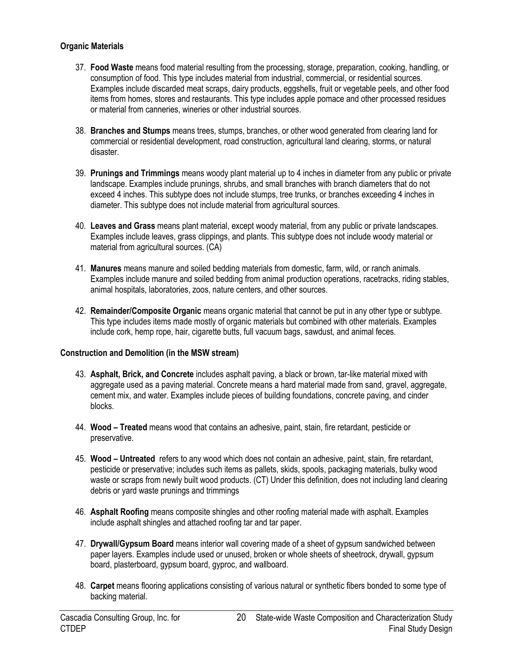#### **Organic Materials**

- 37. **Food Waste** means food material resulting from the processing, storage, preparation, cooking, handling, or consumption of food. This type includes material from industrial, commercial, or residential sources. Examples include discarded meat scraps, dairy products, eggshells, fruit or vegetable peels, and other food items from homes, stores and restaurants. This type includes apple pomace and other processed residues or material from canneries, wineries or other industrial sources.
- 38. **Branches and Stumps** means trees, stumps, branches, or other wood generated from clearing land for commercial or residential development, road construction, agricultural land clearing, storms, or natural disaster.
- 39. **Prunings and Trimmings** means woody plant material up to 4 inches in diameter from any public or private landscape. Examples include prunings, shrubs, and small branches with branch diameters that do not exceed 4 inches. This subtype does not include stumps, tree trunks, or branches exceeding 4 inches in diameter. This subtype does not include material from agricultural sources.
- 40. **Leaves and Grass** means plant material, except woody material, from any public or private landscapes. Examples include leaves, grass clippings, and plants. This subtype does not include woody material or material from agricultural sources. (CA)
- 41. **Manures** means manure and soiled bedding materials from domestic, farm, wild, or ranch animals. Examples include manure and soiled bedding from animal production operations, racetracks, riding stables, animal hospitals, laboratories, zoos, nature centers, and other sources.
- 42. **Remainder/Composite Organic** means organic material that cannot be put in any other type or subtype. This type includes items made mostly of organic materials but combined with other materials. Examples include cork, hemp rope, hair, cigarette butts, full vacuum bags, sawdust, and animal feces.

#### **Construction and Demolition (in the MSW stream)**

- 43. **Asphalt, Brick, and Concrete** includes asphalt paving, a black or brown, tar-like material mixed with aggregate used as a paving material. Concrete means a hard material made from sand, gravel, aggregate, cement mix, and water. Examples include pieces of building foundations, concrete paving, and cinder blocks.
- 44. **Wood – Treated** means wood that contains an adhesive, paint, stain, fire retardant, pesticide or preservative.
- 45. **Wood – Untreated** refers to any wood which does not contain an adhesive, paint, stain, fire retardant, pesticide or preservative; includes such items as pallets, skids, spools, packaging materials, bulky wood waste or scraps from newly built wood products. (CT) Under this definition, does not including land clearing debris or yard waste prunings and trimmings
- 46. **Asphalt Roofing** means composite shingles and other roofing material made with asphalt. Examples include asphalt shingles and attached roofing tar and tar paper.
- 47. **Drywall/Gypsum Board** means interior wall covering made of a sheet of gypsum sandwiched between paper layers. Examples include used or unused, broken or whole sheets of sheetrock, drywall, gypsum board, plasterboard, gypsum board, gyproc, and wallboard.
- 48. **Carpet** means flooring applications consisting of various natural or synthetic fibers bonded to some type of backing material.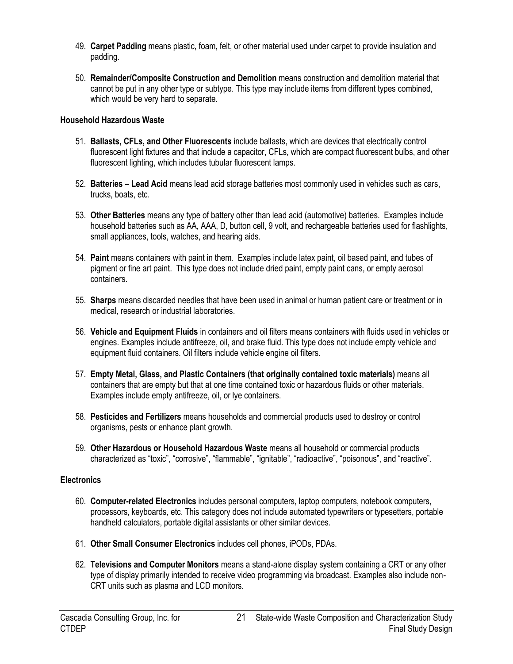- 49. **Carpet Padding** means plastic, foam, felt, or other material used under carpet to provide insulation and padding.
- 50. **Remainder/Composite Construction and Demolition** means construction and demolition material that cannot be put in any other type or subtype. This type may include items from different types combined, which would be very hard to separate.

#### **Household Hazardous Waste**

- 51. **Ballasts, CFLs, and Other Fluorescents** include ballasts, which are devices that electrically control fluorescent light fixtures and that include a capacitor, CFLs, which are compact fluorescent bulbs, and other fluorescent lighting, which includes tubular fluorescent lamps.
- 52. **Batteries – Lead Acid** means lead acid storage batteries most commonly used in vehicles such as cars, trucks, boats, etc.
- 53. **Other Batteries** means any type of battery other than lead acid (automotive) batteries. Examples include household batteries such as AA, AAA, D, button cell, 9 volt, and rechargeable batteries used for flashlights, small appliances, tools, watches, and hearing aids.
- 54. **Paint** means containers with paint in them. Examples include latex paint, oil based paint, and tubes of pigment or fine art paint. This type does not include dried paint, empty paint cans, or empty aerosol containers.
- 55. **Sharps** means discarded needles that have been used in animal or human patient care or treatment or in medical, research or industrial laboratories.
- 56. **Vehicle and Equipment Fluids** in containers and oil filters means containers with fluids used in vehicles or engines. Examples include antifreeze, oil, and brake fluid. This type does not include empty vehicle and equipment fluid containers. Oil filters include vehicle engine oil filters.
- 57. **Empty Metal, Glass, and Plastic Containers (that originally contained toxic materials)** means all containers that are empty but that at one time contained toxic or hazardous fluids or other materials. Examples include empty antifreeze, oil, or lye containers.
- 58. **Pesticides and Fertilizers** means households and commercial products used to destroy or control organisms, pests or enhance plant growth.
- 59. **Other Hazardous or Household Hazardous Waste** means all household or commercial products characterized as "toxic", "corrosive", "flammable", "ignitable", "radioactive", "poisonous", and "reactive".

#### **Electronics**

- 60. **Computer-related Electronics** includes personal computers, laptop computers, notebook computers, processors, keyboards, etc. This category does not include automated typewriters or typesetters, portable handheld calculators, portable digital assistants or other similar devices.
- 61. **Other Small Consumer Electronics** includes cell phones, iPODs, PDAs.
- 62. **Televisions and Computer Monitors** means a stand-alone display system containing a CRT or any other type of display primarily intended to receive video programming via broadcast. Examples also include non-CRT units such as plasma and LCD monitors.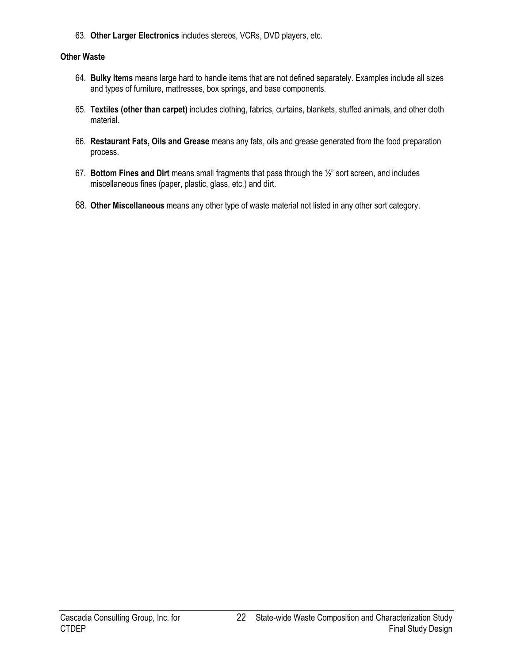63. **Other Larger Electronics** includes stereos, VCRs, DVD players, etc.

#### **Other Waste**

- 64. **Bulky Items** means large hard to handle items that are not defined separately. Examples include all sizes and types of furniture, mattresses, box springs, and base components.
- 65. **Textiles (other than carpet)** includes clothing, fabrics, curtains, blankets, stuffed animals, and other cloth material.
- 66. **Restaurant Fats, Oils and Grease** means any fats, oils and grease generated from the food preparation process.
- 67. **Bottom Fines and Dirt** means small fragments that pass through the ½‖ sort screen, and includes miscellaneous fines (paper, plastic, glass, etc.) and dirt.
- 68. **Other Miscellaneous** means any other type of waste material not listed in any other sort category.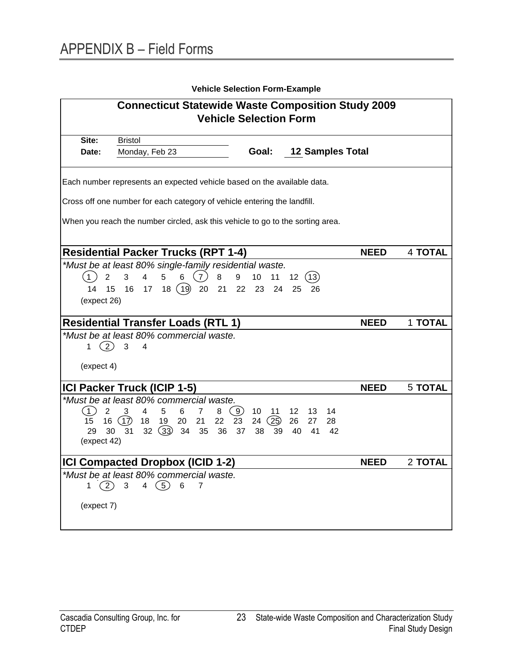<span id="page-24-0"></span>

|                                           |                                                                                                                                        | <b>Vehicle Selection Form-Example</b>                 |                                                    |             |                |
|-------------------------------------------|----------------------------------------------------------------------------------------------------------------------------------------|-------------------------------------------------------|----------------------------------------------------|-------------|----------------|
|                                           | <b>Connecticut Statewide Waste Composition Study 2009</b>                                                                              |                                                       |                                                    |             |                |
|                                           |                                                                                                                                        | <b>Vehicle Selection Form</b>                         |                                                    |             |                |
| Site:                                     | <b>Bristol</b>                                                                                                                         |                                                       |                                                    |             |                |
| Date:                                     | Monday, Feb 23                                                                                                                         | Goal:                                                 | <b>12 Samples Total</b>                            |             |                |
|                                           | Each number represents an expected vehicle based on the available data.                                                                |                                                       |                                                    |             |                |
|                                           | Cross off one number for each category of vehicle entering the landfill.                                                               |                                                       |                                                    |             |                |
|                                           | When you reach the number circled, ask this vehicle to go to the sorting area.                                                         |                                                       |                                                    |             |                |
|                                           |                                                                                                                                        |                                                       |                                                    |             |                |
|                                           | <b>Residential Packer Trucks (RPT 1-4)</b>                                                                                             |                                                       |                                                    | <b>NEED</b> | <b>4 TOTAL</b> |
|                                           | *Must be at least 80% single-family residential waste.                                                                                 |                                                       |                                                    |             |                |
| $\overline{2}$<br>$^{\circ}$ 1            | (7)<br>$\overline{4}$<br>8<br>3<br>5                                                                                                   | 9<br>10<br>11                                         | 12 <sub>2</sub><br>(13)                            |             |                |
| 14                                        | (19)<br>15<br>16<br>18<br>20<br>21<br>17                                                                                               | 22 23<br>24                                           | 26<br>25                                           |             |                |
| (expect 26)                               |                                                                                                                                        |                                                       |                                                    |             |                |
|                                           | <b>Residential Transfer Loads (RTL 1)</b>                                                                                              |                                                       |                                                    | <b>NEED</b> | 1 TOTAL        |
| $\mathcal{L}$<br>1                        | *Must be at least 80% commercial waste.<br>3<br>4                                                                                      |                                                       |                                                    |             |                |
| (expect 4)                                |                                                                                                                                        |                                                       |                                                    |             |                |
|                                           | ICI Packer Truck (ICIP 1-5)                                                                                                            |                                                       |                                                    | <b>NEED</b> | <b>5 TOTAL</b> |
|                                           | *Must be at least 80% commercial waste.                                                                                                |                                                       |                                                    |             |                |
| (1)<br>2<br>15<br>16<br>29<br>(expect 42) | 5<br>6<br>$\overline{7}$<br>8<br>3<br>4<br>22<br>(17)<br>18<br>19<br>20<br>21<br>(33)<br>30<br>31<br>35<br>36<br>32 <sup>2</sup><br>34 | (9)<br>10<br>11<br>23<br>(25)<br>24<br>37<br>38<br>39 | 12<br>13<br>14<br>26<br>27<br>28<br>40<br>41<br>42 |             |                |
|                                           | <b>ICI Compacted Dropbox (ICID 1-2)</b>                                                                                                |                                                       |                                                    | <b>NEED</b> | 2 TOTAL        |
| (2)<br>$1 \quad$                          | *Must be at least 80% commercial waste.<br>4 $(5)$<br>$6\phantom{1}6$<br>3<br>$\overline{7}$                                           |                                                       |                                                    |             |                |
|                                           |                                                                                                                                        |                                                       |                                                    |             |                |
| (expect 7)                                |                                                                                                                                        |                                                       |                                                    |             |                |
|                                           |                                                                                                                                        |                                                       |                                                    |             |                |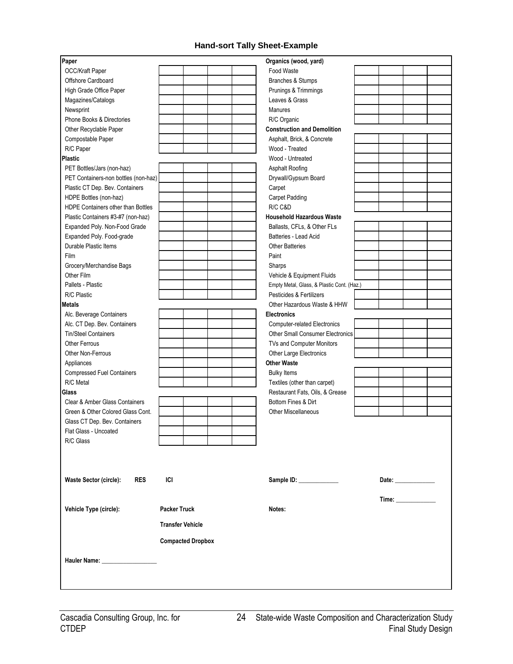#### **Hand-sort Tally Sheet-Example**

| Paper                                                    |                          | Organics (wood, yard)                              |  |  |
|----------------------------------------------------------|--------------------------|----------------------------------------------------|--|--|
| OCC/Kraft Paper                                          |                          | Food Waste                                         |  |  |
| Offshore Cardboard                                       |                          | Branches & Stumps                                  |  |  |
| High Grade Office Paper                                  |                          | Prunings & Trimmings                               |  |  |
| Magazines/Catalogs                                       |                          | Leaves & Grass                                     |  |  |
| Newsprint                                                |                          | Manures                                            |  |  |
| Phone Books & Directories                                |                          | R/C Organic                                        |  |  |
| Other Recyclable Paper                                   |                          | <b>Construction and Demolition</b>                 |  |  |
| Compostable Paper                                        |                          | Asphalt, Brick, & Concrete                         |  |  |
| R/C Paper                                                |                          | Wood - Treated                                     |  |  |
| Plastic                                                  |                          | Wood - Untreated                                   |  |  |
| PET Bottles/Jars (non-haz)                               |                          | Asphalt Roofing                                    |  |  |
| PET Containers-non bottles (non-haz)                     |                          | Drywall/Gypsum Board                               |  |  |
| Plastic CT Dep. Bev. Containers                          |                          | Carpet                                             |  |  |
| HDPE Bottles (non-haz)                                   |                          | <b>Carpet Padding</b>                              |  |  |
| HDPE Containers other than Bottles                       |                          | R/C C&D                                            |  |  |
| Plastic Containers #3-#7 (non-haz)                       |                          | <b>Household Hazardous Waste</b>                   |  |  |
| Expanded Poly. Non-Food Grade                            |                          | Ballasts, CFLs, & Other FLs                        |  |  |
| Expanded Poly. Food-grade                                |                          | Batteries - Lead Acid                              |  |  |
| Durable Plastic Items                                    |                          | <b>Other Batteries</b>                             |  |  |
| Film                                                     |                          | Paint                                              |  |  |
| Grocery/Merchandise Bags                                 |                          | Sharps                                             |  |  |
| Other Film                                               |                          | Vehicle & Equipment Fluids                         |  |  |
| Pallets - Plastic                                        |                          | Empty Metal, Glass, & Plastic Cont. (Haz.)         |  |  |
| R/C Plastic                                              |                          | Pesticides & Fertilizers                           |  |  |
| <b>Metals</b>                                            |                          | Other Hazardous Waste & HHW                        |  |  |
| Alc. Beverage Containers<br>Alc. CT Dep. Bev. Containers |                          | <b>Electronics</b><br>Computer-related Electronics |  |  |
| <b>Tin/Steel Containers</b>                              |                          | <b>Other Small Consumer Electronics</b>            |  |  |
| <b>Other Ferrous</b>                                     |                          | TVs and Computer Monitors                          |  |  |
| Other Non-Ferrous                                        |                          | Other Large Electronics                            |  |  |
| Appliances                                               |                          | <b>Other Waste</b>                                 |  |  |
| <b>Compressed Fuel Containers</b>                        |                          | <b>Bulky Items</b>                                 |  |  |
| R/C Metal                                                |                          | Textiles (other than carpet)                       |  |  |
| Glass                                                    |                          | Restaurant Fats, Oils, & Grease                    |  |  |
| Clear & Amber Glass Containers                           |                          | Bottom Fines & Dirt                                |  |  |
| Green & Other Colored Glass Cont.                        |                          | <b>Other Miscellaneous</b>                         |  |  |
| Glass CT Dep. Bev. Containers                            |                          |                                                    |  |  |
| Flat Glass - Uncoated                                    |                          |                                                    |  |  |
| R/C Glass                                                |                          |                                                    |  |  |
|                                                          |                          |                                                    |  |  |
|                                                          |                          |                                                    |  |  |
| <b>Waste Sector (circle):</b><br><b>RES</b>              | ICI                      | Sample ID: _____________                           |  |  |
|                                                          |                          |                                                    |  |  |
| Vehicle Type (circle):                                   | <b>Packer Truck</b>      | Notes:                                             |  |  |
|                                                          | <b>Transfer Vehicle</b>  |                                                    |  |  |
|                                                          |                          |                                                    |  |  |
|                                                          | <b>Compacted Dropbox</b> |                                                    |  |  |
| Hauler Name: Name:                                       |                          |                                                    |  |  |
|                                                          |                          |                                                    |  |  |
|                                                          |                          |                                                    |  |  |
|                                                          |                          |                                                    |  |  |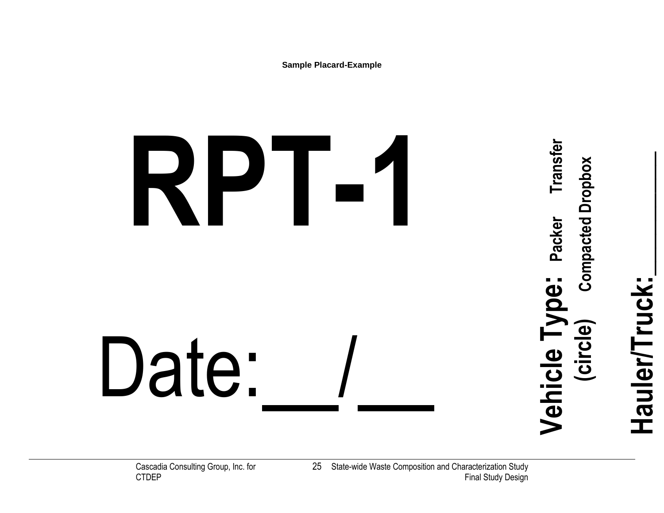**Sample Placard-Example**

# **RPT-1** Date:

**Hauler/Truck:\_\_\_\_\_\_\_\_\_**

Hauler/Truck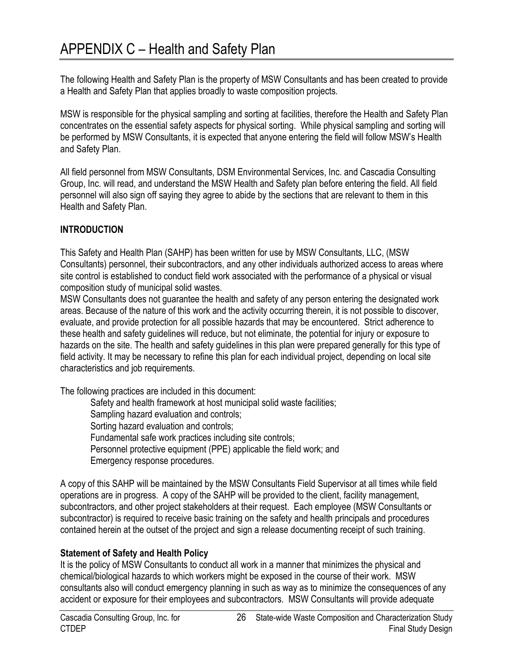<span id="page-27-0"></span>The following Health and Safety Plan is the property of MSW Consultants and has been created to provide a Health and Safety Plan that applies broadly to waste composition projects.

MSW is responsible for the physical sampling and sorting at facilities, therefore the Health and Safety Plan concentrates on the essential safety aspects for physical sorting. While physical sampling and sorting will be performed by MSW Consultants, it is expected that anyone entering the field will follow MSW's Health and Safety Plan.

All field personnel from MSW Consultants, DSM Environmental Services, Inc. and Cascadia Consulting Group, Inc. will read, and understand the MSW Health and Safety plan before entering the field. All field personnel will also sign off saying they agree to abide by the sections that are relevant to them in this Health and Safety Plan.

## **INTRODUCTION**

This Safety and Health Plan (SAHP) has been written for use by MSW Consultants, LLC, (MSW Consultants) personnel, their subcontractors, and any other individuals authorized access to areas where site control is established to conduct field work associated with the performance of a physical or visual composition study of municipal solid wastes.

MSW Consultants does not guarantee the health and safety of any person entering the designated work areas. Because of the nature of this work and the activity occurring therein, it is not possible to discover, evaluate, and provide protection for all possible hazards that may be encountered. Strict adherence to these health and safety guidelines will reduce, but not eliminate, the potential for injury or exposure to hazards on the site. The health and safety guidelines in this plan were prepared generally for this type of field activity. It may be necessary to refine this plan for each individual project, depending on local site characteristics and job requirements.

The following practices are included in this document:

Safety and health framework at host municipal solid waste facilities; Sampling hazard evaluation and controls; Sorting hazard evaluation and controls; Fundamental safe work practices including site controls; Personnel protective equipment (PPE) applicable the field work; and Emergency response procedures.

A copy of this SAHP will be maintained by the MSW Consultants Field Supervisor at all times while field operations are in progress. A copy of the SAHP will be provided to the client, facility management, subcontractors, and other project stakeholders at their request. Each employee (MSW Consultants or subcontractor) is required to receive basic training on the safety and health principals and procedures contained herein at the outset of the project and sign a release documenting receipt of such training.

## **Statement of Safety and Health Policy**

It is the policy of MSW Consultants to conduct all work in a manner that minimizes the physical and chemical/biological hazards to which workers might be exposed in the course of their work. MSW consultants also will conduct emergency planning in such as way as to minimize the consequences of any accident or exposure for their employees and subcontractors. MSW Consultants will provide adequate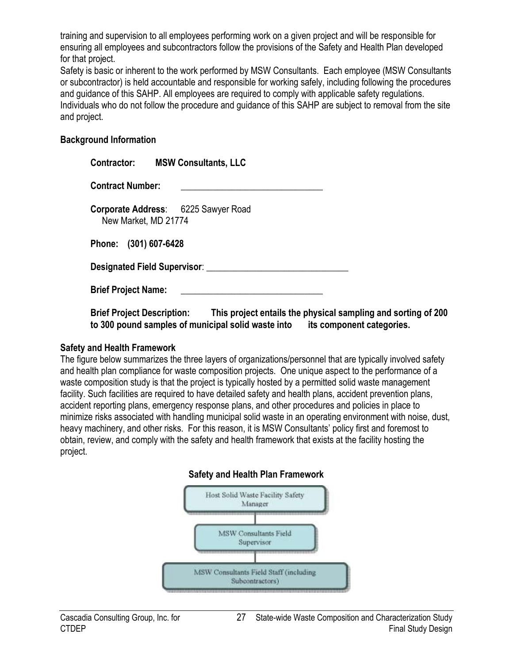training and supervision to all employees performing work on a given project and will be responsible for ensuring all employees and subcontractors follow the provisions of the Safety and Health Plan developed for that project.

Safety is basic or inherent to the work performed by MSW Consultants. Each employee (MSW Consultants or subcontractor) is held accountable and responsible for working safely, including following the procedures and guidance of this SAHP. All employees are required to comply with applicable safety regulations. Individuals who do not follow the procedure and guidance of this SAHP are subject to removal from the site and project.

#### **Background Information**

| <b>MSW Consultants, LLC</b><br><b>Contractor:</b>           |  |  |  |
|-------------------------------------------------------------|--|--|--|
| <b>Contract Number:</b>                                     |  |  |  |
| Corporate Address: 6225 Sawyer Road<br>New Market, MD 21774 |  |  |  |
| Phone: (301) 607-6428                                       |  |  |  |
| Designated Field Supervisor:                                |  |  |  |
| <b>Brief Project Name:</b>                                  |  |  |  |

**Brief Project Description: This project entails the physical sampling and sorting of 200 to 300 pound samples of municipal solid waste into its component categories.** 

#### **Safety and Health Framework**

The figure below summarizes the three layers of organizations/personnel that are typically involved safety and health plan compliance for waste composition projects. One unique aspect to the performance of a waste composition study is that the project is typically hosted by a permitted solid waste management facility. Such facilities are required to have detailed safety and health plans, accident prevention plans, accident reporting plans, emergency response plans, and other procedures and policies in place to minimize risks associated with handling municipal solid waste in an operating environment with noise, dust, heavy machinery, and other risks. For this reason, it is MSW Consultants' policy first and foremost to obtain, review, and comply with the safety and health framework that exists at the facility hosting the project.

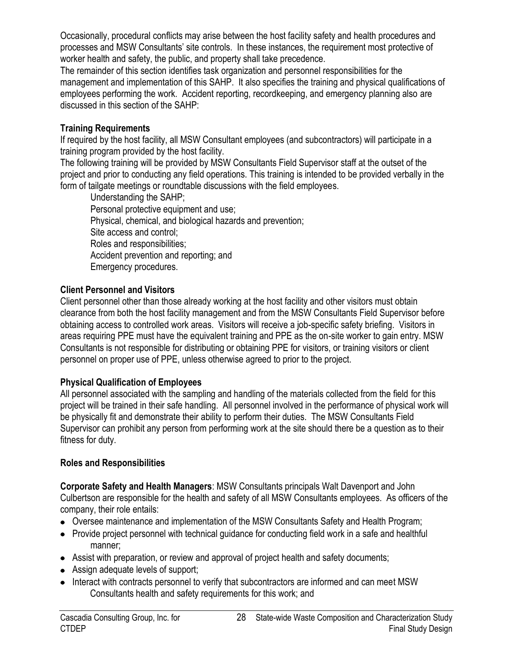Occasionally, procedural conflicts may arise between the host facility safety and health procedures and processes and MSW Consultants' site controls. In these instances, the requirement most protective of worker health and safety, the public, and property shall take precedence.

The remainder of this section identifies task organization and personnel responsibilities for the management and implementation of this SAHP. It also specifies the training and physical qualifications of employees performing the work. Accident reporting, recordkeeping, and emergency planning also are discussed in this section of the SAHP:

#### **Training Requirements**

If required by the host facility, all MSW Consultant employees (and subcontractors) will participate in a training program provided by the host facility.

The following training will be provided by MSW Consultants Field Supervisor staff at the outset of the project and prior to conducting any field operations. This training is intended to be provided verbally in the form of tailgate meetings or roundtable discussions with the field employees.

Understanding the SAHP; Personal protective equipment and use; Physical, chemical, and biological hazards and prevention; Site access and control; Roles and responsibilities; Accident prevention and reporting; and Emergency procedures.

## **Client Personnel and Visitors**

Client personnel other than those already working at the host facility and other visitors must obtain clearance from both the host facility management and from the MSW Consultants Field Supervisor before obtaining access to controlled work areas. Visitors will receive a job-specific safety briefing. Visitors in areas requiring PPE must have the equivalent training and PPE as the on-site worker to gain entry. MSW Consultants is not responsible for distributing or obtaining PPE for visitors, or training visitors or client personnel on proper use of PPE, unless otherwise agreed to prior to the project.

## **Physical Qualification of Employees**

All personnel associated with the sampling and handling of the materials collected from the field for this project will be trained in their safe handling. All personnel involved in the performance of physical work will be physically fit and demonstrate their ability to perform their duties. The MSW Consultants Field Supervisor can prohibit any person from performing work at the site should there be a question as to their fitness for duty.

#### **Roles and Responsibilities**

**Corporate Safety and Health Managers**: MSW Consultants principals Walt Davenport and John Culbertson are responsible for the health and safety of all MSW Consultants employees. As officers of the company, their role entails:

- Oversee maintenance and implementation of the MSW Consultants Safety and Health Program;
- Provide project personnel with technical quidance for conducting field work in a safe and healthful manner;
- Assist with preparation, or review and approval of project health and safety documents;
- Assign adequate levels of support;
- Interact with contracts personnel to verify that subcontractors are informed and can meet MSW Consultants health and safety requirements for this work; and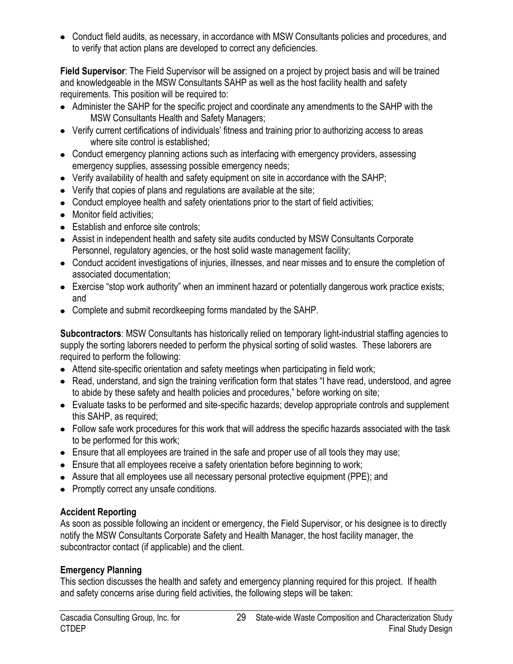Conduct field audits, as necessary, in accordance with MSW Consultants policies and procedures, and to verify that action plans are developed to correct any deficiencies.

**Field Supervisor**: The Field Supervisor will be assigned on a project by project basis and will be trained and knowledgeable in the MSW Consultants SAHP as well as the host facility health and safety requirements. This position will be required to:

- Administer the SAHP for the specific project and coordinate any amendments to the SAHP with the MSW Consultants Health and Safety Managers;
- Verify current certifications of individuals' fitness and training prior to authorizing access to areas where site control is established;
- Conduct emergency planning actions such as interfacing with emergency providers, assessing emergency supplies, assessing possible emergency needs;
- Verify availability of health and safety equipment on site in accordance with the SAHP;
- Verify that copies of plans and regulations are available at the site;
- Conduct employee health and safety orientations prior to the start of field activities;
- Monitor field activities:
- Establish and enforce site controls:
- Assist in independent health and safety site audits conducted by MSW Consultants Corporate Personnel, regulatory agencies, or the host solid waste management facility;
- Conduct accident investigations of injuries, illnesses, and near misses and to ensure the completion of associated documentation;
- Exercise "stop work authority" when an imminent hazard or potentially dangerous work practice exists; and
- Complete and submit recordkeeping forms mandated by the SAHP.

**Subcontractors**: MSW Consultants has historically relied on temporary light-industrial staffing agencies to supply the sorting laborers needed to perform the physical sorting of solid wastes. These laborers are required to perform the following:

- Attend site-specific orientation and safety meetings when participating in field work;
- Read, understand, and sign the training verification form that states "I have read, understood, and agree to abide by these safety and health policies and procedures," before working on site;
- Evaluate tasks to be performed and site-specific hazards; develop appropriate controls and supplement this SAHP, as required;
- Follow safe work procedures for this work that will address the specific hazards associated with the task to be performed for this work;
- Ensure that all employees are trained in the safe and proper use of all tools they may use;
- Ensure that all employees receive a safety orientation before beginning to work;
- Assure that all employees use all necessary personal protective equipment (PPE); and
- Promptly correct any unsafe conditions.

## **Accident Reporting**

As soon as possible following an incident or emergency, the Field Supervisor, or his designee is to directly notify the MSW Consultants Corporate Safety and Health Manager, the host facility manager, the subcontractor contact (if applicable) and the client.

## **Emergency Planning**

This section discusses the health and safety and emergency planning required for this project. If health and safety concerns arise during field activities, the following steps will be taken: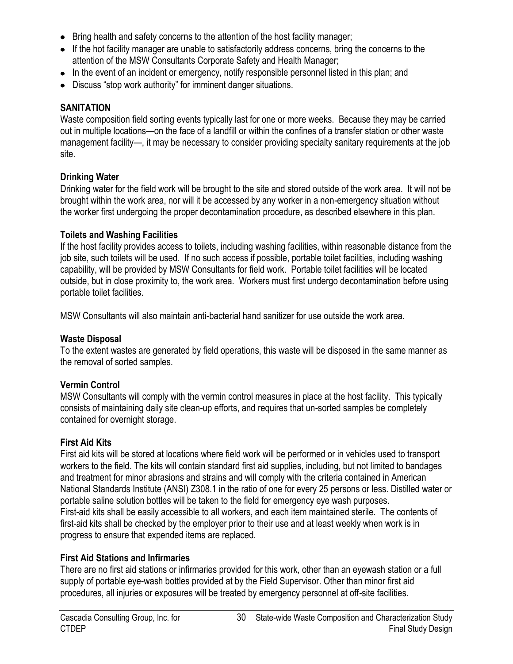- Bring health and safety concerns to the attention of the host facility manager;
- If the hot facility manager are unable to satisfactorily address concerns, bring the concerns to the attention of the MSW Consultants Corporate Safety and Health Manager;
- In the event of an incident or emergency, notify responsible personnel listed in this plan; and
- Discuss "stop work authority" for imminent danger situations.

#### **SANITATION**

Waste composition field sorting events typically last for one or more weeks. Because they may be carried out in multiple locations—on the face of a landfill or within the confines of a transfer station or other waste management facility—, it may be necessary to consider providing specialty sanitary requirements at the job site.

#### **Drinking Water**

Drinking water for the field work will be brought to the site and stored outside of the work area. It will not be brought within the work area, nor will it be accessed by any worker in a non-emergency situation without the worker first undergoing the proper decontamination procedure, as described elsewhere in this plan.

#### **Toilets and Washing Facilities**

If the host facility provides access to toilets, including washing facilities, within reasonable distance from the job site, such toilets will be used. If no such access if possible, portable toilet facilities, including washing capability, will be provided by MSW Consultants for field work. Portable toilet facilities will be located outside, but in close proximity to, the work area. Workers must first undergo decontamination before using portable toilet facilities.

MSW Consultants will also maintain anti-bacterial hand sanitizer for use outside the work area.

#### **Waste Disposal**

To the extent wastes are generated by field operations, this waste will be disposed in the same manner as the removal of sorted samples.

#### **Vermin Control**

MSW Consultants will comply with the vermin control measures in place at the host facility. This typically consists of maintaining daily site clean-up efforts, and requires that un-sorted samples be completely contained for overnight storage.

#### **First Aid Kits**

First aid kits will be stored at locations where field work will be performed or in vehicles used to transport workers to the field. The kits will contain standard first aid supplies, including, but not limited to bandages and treatment for minor abrasions and strains and will comply with the criteria contained in American National Standards Institute (ANSI) Z308.1 in the ratio of one for every 25 persons or less. Distilled water or portable saline solution bottles will be taken to the field for emergency eye wash purposes. First-aid kits shall be easily accessible to all workers, and each item maintained sterile. The contents of first-aid kits shall be checked by the employer prior to their use and at least weekly when work is in progress to ensure that expended items are replaced.

#### **First Aid Stations and Infirmaries**

There are no first aid stations or infirmaries provided for this work, other than an eyewash station or a full supply of portable eye-wash bottles provided at by the Field Supervisor. Other than minor first aid procedures, all injuries or exposures will be treated by emergency personnel at off-site facilities.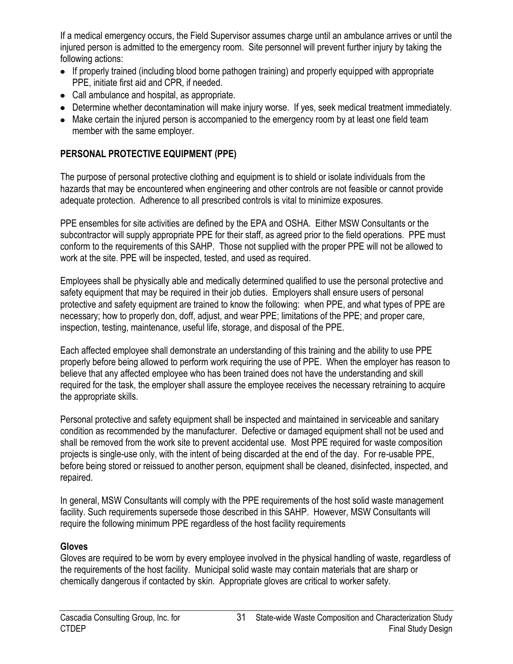If a medical emergency occurs, the Field Supervisor assumes charge until an ambulance arrives or until the injured person is admitted to the emergency room. Site personnel will prevent further injury by taking the following actions:

- If properly trained (including blood borne pathogen training) and properly equipped with appropriate PPE, initiate first aid and CPR, if needed.
- Call ambulance and hospital, as appropriate.
- Determine whether decontamination will make injury worse. If yes, seek medical treatment immediately.
- Make certain the injured person is accompanied to the emergency room by at least one field team member with the same employer.

# **PERSONAL PROTECTIVE EQUIPMENT (PPE)**

The purpose of personal protective clothing and equipment is to shield or isolate individuals from the hazards that may be encountered when engineering and other controls are not feasible or cannot provide adequate protection. Adherence to all prescribed controls is vital to minimize exposures.

PPE ensembles for site activities are defined by the EPA and OSHA. Either MSW Consultants or the subcontractor will supply appropriate PPE for their staff, as agreed prior to the field operations. PPE must conform to the requirements of this SAHP. Those not supplied with the proper PPE will not be allowed to work at the site. PPE will be inspected, tested, and used as required.

Employees shall be physically able and medically determined qualified to use the personal protective and safety equipment that may be required in their job duties. Employers shall ensure users of personal protective and safety equipment are trained to know the following: when PPE, and what types of PPE are necessary; how to properly don, doff, adjust, and wear PPE; limitations of the PPE; and proper care, inspection, testing, maintenance, useful life, storage, and disposal of the PPE.

Each affected employee shall demonstrate an understanding of this training and the ability to use PPE properly before being allowed to perform work requiring the use of PPE. When the employer has reason to believe that any affected employee who has been trained does not have the understanding and skill required for the task, the employer shall assure the employee receives the necessary retraining to acquire the appropriate skills.

Personal protective and safety equipment shall be inspected and maintained in serviceable and sanitary condition as recommended by the manufacturer. Defective or damaged equipment shall not be used and shall be removed from the work site to prevent accidental use. Most PPE required for waste composition projects is single-use only, with the intent of being discarded at the end of the day. For re-usable PPE, before being stored or reissued to another person, equipment shall be cleaned, disinfected, inspected, and repaired.

In general, MSW Consultants will comply with the PPE requirements of the host solid waste management facility. Such requirements supersede those described in this SAHP. However, MSW Consultants will require the following minimum PPE regardless of the host facility requirements

# **Gloves**

Gloves are required to be worn by every employee involved in the physical handling of waste, regardless of the requirements of the host facility. Municipal solid waste may contain materials that are sharp or chemically dangerous if contacted by skin. Appropriate gloves are critical to worker safety.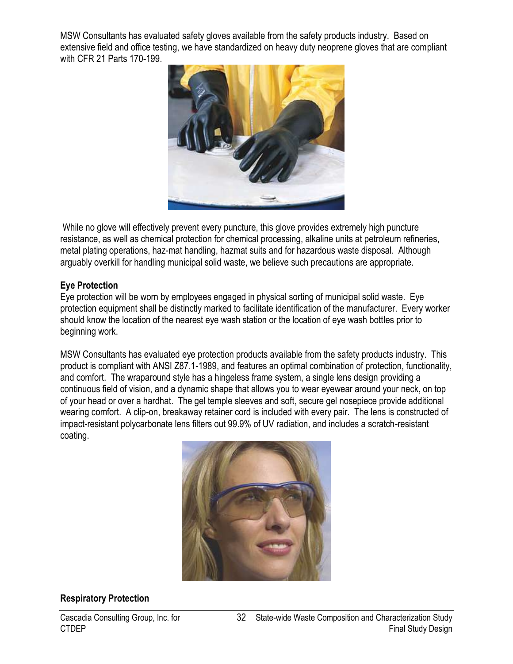MSW Consultants has evaluated safety gloves available from the safety products industry. Based on extensive field and office testing, we have standardized on heavy duty neoprene gloves that are compliant with CFR 21 Parts 170-199.



While no glove will effectively prevent every puncture, this glove provides extremely high puncture resistance, as well as chemical protection for chemical processing, alkaline units at petroleum refineries, metal plating operations, haz-mat handling, hazmat suits and for hazardous waste disposal. Although arguably overkill for handling municipal solid waste, we believe such precautions are appropriate.

#### **Eye Protection**

Eye protection will be worn by employees engaged in physical sorting of municipal solid waste. Eye protection equipment shall be distinctly marked to facilitate identification of the manufacturer. Every worker should know the location of the nearest eye wash station or the location of eye wash bottles prior to beginning work.

MSW Consultants has evaluated eye protection products available from the safety products industry. This product is compliant with ANSI Z87.1-1989, and features an optimal combination of protection, functionality, and comfort. The wraparound style has a hingeless frame system, a single lens design providing a continuous field of vision, and a dynamic shape that allows you to wear eyewear around your neck, on top of your head or over a hardhat. The gel temple sleeves and soft, secure gel nosepiece provide additional wearing comfort. A clip-on, breakaway retainer cord is included with every pair. The lens is constructed of impact-resistant polycarbonate lens filters out 99.9% of UV radiation, and includes a scratch-resistant coating.



# **Respiratory Protection**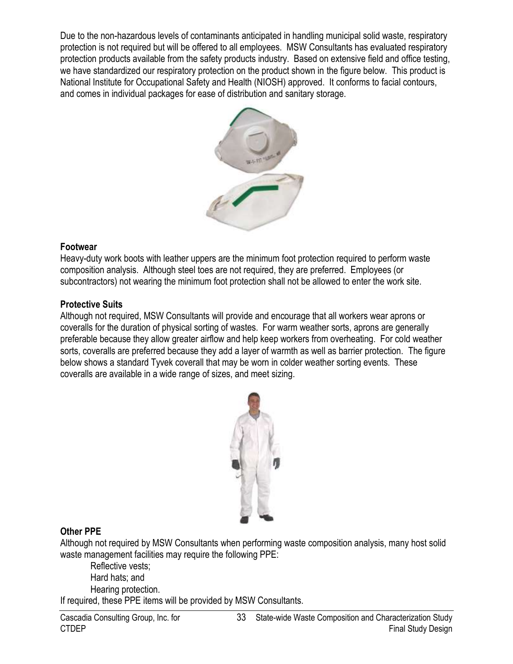Due to the non-hazardous levels of contaminants anticipated in handling municipal solid waste, respiratory protection is not required but will be offered to all employees. MSW Consultants has evaluated respiratory protection products available from the safety products industry. Based on extensive field and office testing, we have standardized our respiratory protection on the product shown in the figure below. This product is National Institute for Occupational Safety and Health (NIOSH) approved. It conforms to facial contours, and comes in individual packages for ease of distribution and sanitary storage.



#### **Footwear**

Heavy-duty work boots with leather uppers are the minimum foot protection required to perform waste composition analysis. Although steel toes are not required, they are preferred. Employees (or subcontractors) not wearing the minimum foot protection shall not be allowed to enter the work site.

#### **Protective Suits**

Although not required, MSW Consultants will provide and encourage that all workers wear aprons or coveralls for the duration of physical sorting of wastes. For warm weather sorts, aprons are generally preferable because they allow greater airflow and help keep workers from overheating. For cold weather sorts, coveralls are preferred because they add a layer of warmth as well as barrier protection. The figure below shows a standard Tyvek coverall that may be worn in colder weather sorting events. These coveralls are available in a wide range of sizes, and meet sizing.



#### **Other PPE**

Although not required by MSW Consultants when performing waste composition analysis, many host solid waste management facilities may require the following PPE:

Reflective vests; Hard hats; and Hearing protection.

If required, these PPE items will be provided by MSW Consultants.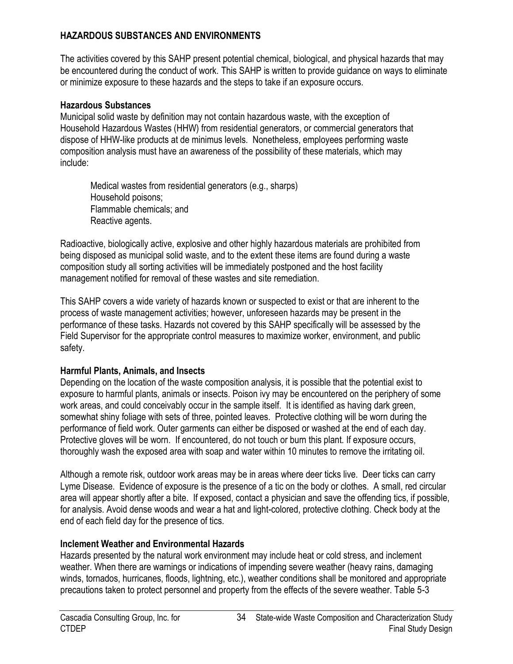## **HAZARDOUS SUBSTANCES AND ENVIRONMENTS**

The activities covered by this SAHP present potential chemical, biological, and physical hazards that may be encountered during the conduct of work. This SAHP is written to provide guidance on ways to eliminate or minimize exposure to these hazards and the steps to take if an exposure occurs.

#### **Hazardous Substances**

Municipal solid waste by definition may not contain hazardous waste, with the exception of Household Hazardous Wastes (HHW) from residential generators, or commercial generators that dispose of HHW-like products at de minimus levels. Nonetheless, employees performing waste composition analysis must have an awareness of the possibility of these materials, which may include:

Medical wastes from residential generators (e.g., sharps) Household poisons; Flammable chemicals; and Reactive agents.

Radioactive, biologically active, explosive and other highly hazardous materials are prohibited from being disposed as municipal solid waste, and to the extent these items are found during a waste composition study all sorting activities will be immediately postponed and the host facility management notified for removal of these wastes and site remediation.

This SAHP covers a wide variety of hazards known or suspected to exist or that are inherent to the process of waste management activities; however, unforeseen hazards may be present in the performance of these tasks. Hazards not covered by this SAHP specifically will be assessed by the Field Supervisor for the appropriate control measures to maximize worker, environment, and public safety.

## **Harmful Plants, Animals, and Insects**

Depending on the location of the waste composition analysis, it is possible that the potential exist to exposure to harmful plants, animals or insects. Poison ivy may be encountered on the periphery of some work areas, and could conceivably occur in the sample itself. It is identified as having dark green, somewhat shiny foliage with sets of three, pointed leaves. Protective clothing will be worn during the performance of field work. Outer garments can either be disposed or washed at the end of each day. Protective gloves will be worn. If encountered, do not touch or burn this plant. If exposure occurs, thoroughly wash the exposed area with soap and water within 10 minutes to remove the irritating oil.

Although a remote risk, outdoor work areas may be in areas where deer ticks live. Deer ticks can carry Lyme Disease. Evidence of exposure is the presence of a tic on the body or clothes. A small, red circular area will appear shortly after a bite. If exposed, contact a physician and save the offending tics, if possible, for analysis. Avoid dense woods and wear a hat and light-colored, protective clothing. Check body at the end of each field day for the presence of tics.

## **Inclement Weather and Environmental Hazards**

Hazards presented by the natural work environment may include heat or cold stress, and inclement weather. When there are warnings or indications of impending severe weather (heavy rains, damaging winds, tornados, hurricanes, floods, lightning, etc.), weather conditions shall be monitored and appropriate precautions taken to protect personnel and property from the effects of the severe weather. Table 5-3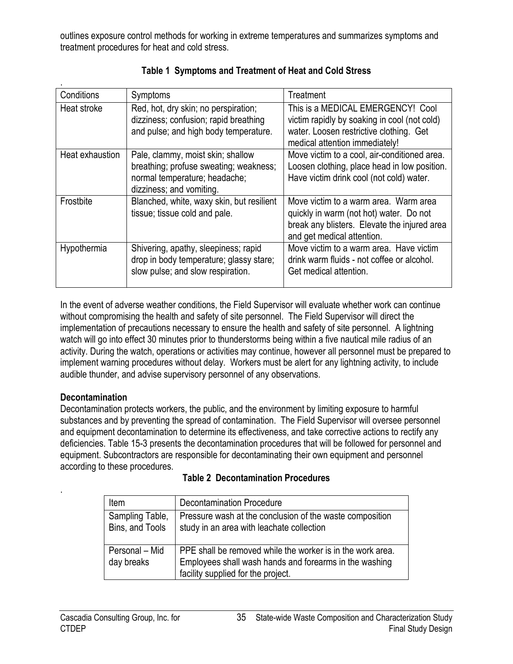outlines exposure control methods for working in extreme temperatures and summarizes symptoms and treatment procedures for heat and cold stress.

| Conditions      | Symptoms                                                                                                                                 | Treatment                                                                                                                                                      |
|-----------------|------------------------------------------------------------------------------------------------------------------------------------------|----------------------------------------------------------------------------------------------------------------------------------------------------------------|
| Heat stroke     | Red, hot, dry skin; no perspiration;<br>dizziness; confusion; rapid breathing<br>and pulse; and high body temperature.                   | This is a MEDICAL EMERGENCY! Cool<br>victim rapidly by soaking in cool (not cold)<br>water. Loosen restrictive clothing. Get<br>medical attention immediately! |
| Heat exhaustion | Pale, clammy, moist skin; shallow<br>breathing; profuse sweating; weakness;<br>normal temperature; headache;<br>dizziness; and vomiting. | Move victim to a cool, air-conditioned area.<br>Loosen clothing, place head in low position.<br>Have victim drink cool (not cold) water.                       |
| Frostbite       | Blanched, white, waxy skin, but resilient<br>tissue; tissue cold and pale.                                                               | Move victim to a warm area. Warm area<br>quickly in warm (not hot) water. Do not<br>break any blisters. Elevate the injured area<br>and get medical attention. |
| Hypothermia     | Shivering, apathy, sleepiness; rapid<br>drop in body temperature; glassy stare;<br>slow pulse; and slow respiration.                     | Move victim to a warm area. Have victim<br>drink warm fluids - not coffee or alcohol.<br>Get medical attention.                                                |

# **Table 1 Symptoms and Treatment of Heat and Cold Stress**

In the event of adverse weather conditions, the Field Supervisor will evaluate whether work can continue without compromising the health and safety of site personnel. The Field Supervisor will direct the implementation of precautions necessary to ensure the health and safety of site personnel. A lightning watch will go into effect 30 minutes prior to thunderstorms being within a five nautical mile radius of an activity. During the watch, operations or activities may continue, however all personnel must be prepared to implement warning procedures without delay. Workers must be alert for any lightning activity, to include audible thunder, and advise supervisory personnel of any observations.

## **Decontamination**

.

Decontamination protects workers, the public, and the environment by limiting exposure to harmful substances and by preventing the spread of contamination. The Field Supervisor will oversee personnel and equipment decontamination to determine its effectiveness, and take corrective actions to rectify any deficiencies. Table 15-3 presents the decontamination procedures that will be followed for personnel and equipment. Subcontractors are responsible for decontaminating their own equipment and personnel according to these procedures.

| Item                               | <b>Decontamination Procedure</b>                                                                                                                           |
|------------------------------------|------------------------------------------------------------------------------------------------------------------------------------------------------------|
|                                    |                                                                                                                                                            |
| Sampling Table,<br>Bins, and Tools | Pressure wash at the conclusion of the waste composition<br>study in an area with leachate collection                                                      |
| Personal - Mid<br>day breaks       | PPE shall be removed while the worker is in the work area.<br>Employees shall wash hands and forearms in the washing<br>facility supplied for the project. |

#### **Table 2 Decontamination Procedures**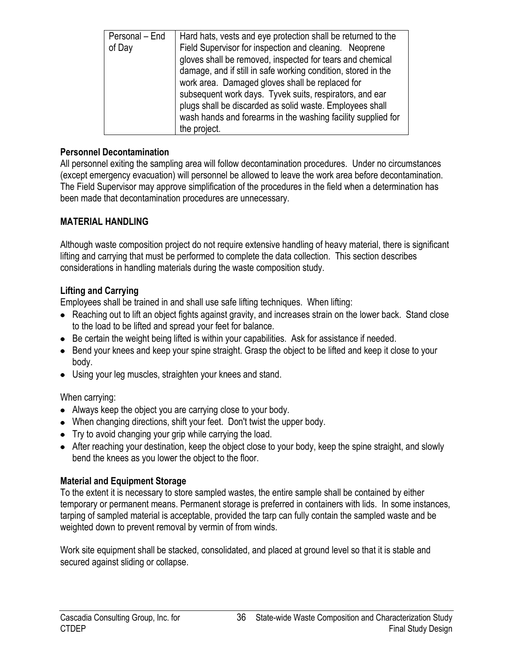| Personal – End | Hard hats, vests and eye protection shall be returned to the  |
|----------------|---------------------------------------------------------------|
| of Day         | Field Supervisor for inspection and cleaning. Neoprene        |
|                | gloves shall be removed, inspected for tears and chemical     |
|                | damage, and if still in safe working condition, stored in the |
|                | work area. Damaged gloves shall be replaced for               |
|                | subsequent work days. Tyvek suits, respirators, and ear       |
|                | plugs shall be discarded as solid waste. Employees shall      |
|                | wash hands and forearms in the washing facility supplied for  |
|                | the project.                                                  |

#### **Personnel Decontamination**

All personnel exiting the sampling area will follow decontamination procedures. Under no circumstances (except emergency evacuation) will personnel be allowed to leave the work area before decontamination. The Field Supervisor may approve simplification of the procedures in the field when a determination has been made that decontamination procedures are unnecessary.

## **MATERIAL HANDLING**

Although waste composition project do not require extensive handling of heavy material, there is significant lifting and carrying that must be performed to complete the data collection. This section describes considerations in handling materials during the waste composition study.

## **Lifting and Carrying**

Employees shall be trained in and shall use safe lifting techniques. When lifting:

- Reaching out to lift an object fights against gravity, and increases strain on the lower back. Stand close to the load to be lifted and spread your feet for balance.
- Be certain the weight being lifted is within your capabilities. Ask for assistance if needed.
- Bend your knees and keep your spine straight. Grasp the object to be lifted and keep it close to your body.
- Using your leg muscles, straighten your knees and stand.

## When carrying:

- Always keep the object you are carrying close to your body.
- When changing directions, shift your feet. Don't twist the upper body.
- Try to avoid changing your grip while carrying the load.
- After reaching your destination, keep the object close to your body, keep the spine straight, and slowly bend the knees as you lower the object to the floor.

## **Material and Equipment Storage**

To the extent it is necessary to store sampled wastes, the entire sample shall be contained by either temporary or permanent means. Permanent storage is preferred in containers with lids. In some instances, tarping of sampled material is acceptable, provided the tarp can fully contain the sampled waste and be weighted down to prevent removal by vermin of from winds.

Work site equipment shall be stacked, consolidated, and placed at ground level so that it is stable and secured against sliding or collapse.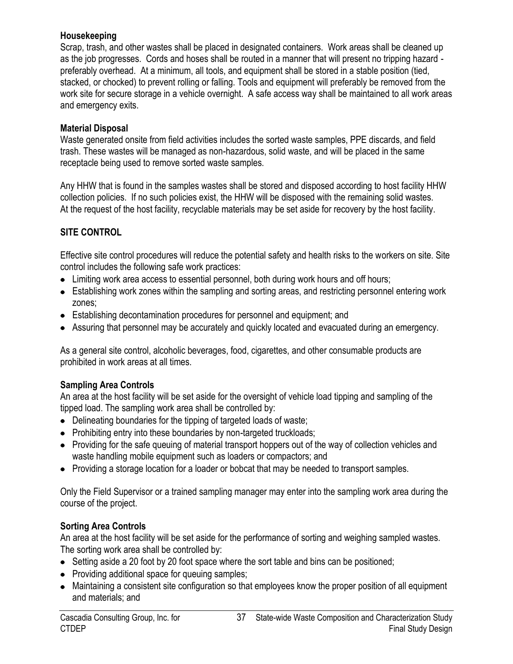#### **Housekeeping**

Scrap, trash, and other wastes shall be placed in designated containers. Work areas shall be cleaned up as the job progresses. Cords and hoses shall be routed in a manner that will present no tripping hazard preferably overhead. At a minimum, all tools, and equipment shall be stored in a stable position (tied, stacked, or chocked) to prevent rolling or falling. Tools and equipment will preferably be removed from the work site for secure storage in a vehicle overnight. A safe access way shall be maintained to all work areas and emergency exits.

## **Material Disposal**

Waste generated onsite from field activities includes the sorted waste samples, PPE discards, and field trash. These wastes will be managed as non-hazardous, solid waste, and will be placed in the same receptacle being used to remove sorted waste samples.

Any HHW that is found in the samples wastes shall be stored and disposed according to host facility HHW collection policies. If no such policies exist, the HHW will be disposed with the remaining solid wastes. At the request of the host facility, recyclable materials may be set aside for recovery by the host facility.

# **SITE CONTROL**

Effective site control procedures will reduce the potential safety and health risks to the workers on site. Site control includes the following safe work practices:

- Limiting work area access to essential personnel, both during work hours and off hours;
- Establishing work zones within the sampling and sorting areas, and restricting personnel entering work zones;
- Establishing decontamination procedures for personnel and equipment; and
- Assuring that personnel may be accurately and quickly located and evacuated during an emergency.

As a general site control, alcoholic beverages, food, cigarettes, and other consumable products are prohibited in work areas at all times.

## **Sampling Area Controls**

An area at the host facility will be set aside for the oversight of vehicle load tipping and sampling of the tipped load. The sampling work area shall be controlled by:

- Delineating boundaries for the tipping of targeted loads of waste;
- Prohibiting entry into these boundaries by non-targeted truckloads;
- Providing for the safe queuing of material transport hoppers out of the way of collection vehicles and waste handling mobile equipment such as loaders or compactors; and
- Providing a storage location for a loader or bobcat that may be needed to transport samples.

Only the Field Supervisor or a trained sampling manager may enter into the sampling work area during the course of the project.

# **Sorting Area Controls**

An area at the host facility will be set aside for the performance of sorting and weighing sampled wastes. The sorting work area shall be controlled by:

- Setting aside a 20 foot by 20 foot space where the sort table and bins can be positioned;
- Providing additional space for queuing samples;
- Maintaining a consistent site configuration so that employees know the proper position of all equipment and materials; and